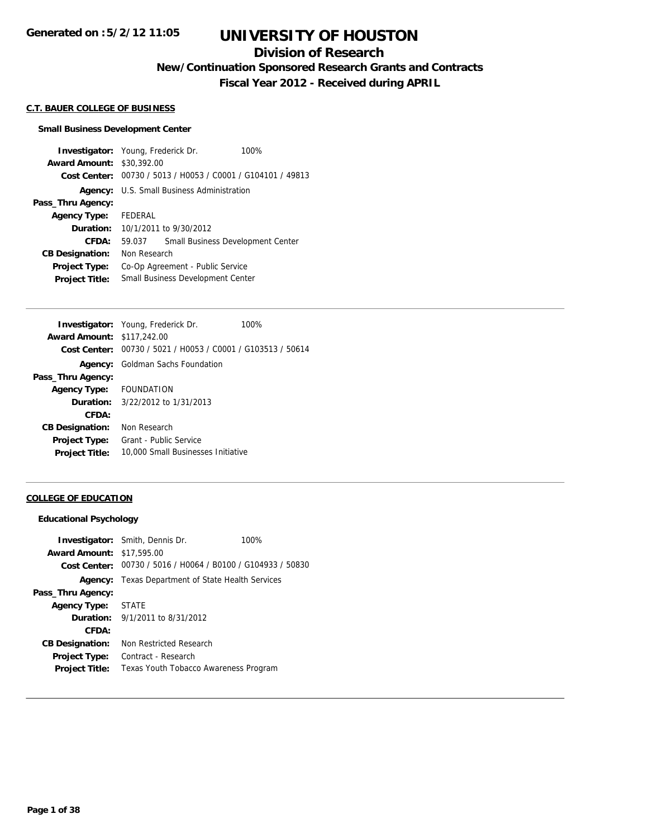# **Division of Research**

**New/Continuation Sponsored Research Grants and Contracts**

**Fiscal Year 2012 - Received during APRIL**

#### **C.T. BAUER COLLEGE OF BUSINESS**

#### **Small Business Development Center**

**Investigator:** Young, Frederick Dr. 100% **Award Amount:** \$30,392.00 **Cost Center:** 00730 / 5013 / H0053 / C0001 / G104101 / 49813 **Agency:** U.S. Small Business Administration **Pass\_Thru Agency: Agency Type:** FEDERAL **Duration:** 10/1/2011 to 9/30/2012 **CFDA:** 59.037 Small Business Development Center **CB Designation:** Non Research **Project Type:** Co-Op Agreement - Public Service **Project Title:** Small Business Development Center

|                                   | <b>Investigator:</b> Young, Frederick Dr.                   | 100% |
|-----------------------------------|-------------------------------------------------------------|------|
| <b>Award Amount: \$117,242.00</b> |                                                             |      |
|                                   | Cost Center: 00730 / 5021 / H0053 / C0001 / G103513 / 50614 |      |
|                                   | <b>Agency:</b> Goldman Sachs Foundation                     |      |
| Pass_Thru Agency:                 |                                                             |      |
| Agency Type: FOUNDATION           |                                                             |      |
|                                   | <b>Duration:</b> $3/22/2012$ to $1/31/2013$                 |      |
| CFDA:                             |                                                             |      |
| <b>CB Designation:</b>            | Non Research                                                |      |
| <b>Project Type:</b>              | Grant - Public Service                                      |      |
| <b>Project Title:</b>             | 10,000 Small Businesses Initiative                          |      |
|                                   |                                                             |      |

#### **COLLEGE OF EDUCATION**

#### **Educational Psychology**

|                                  | <b>Investigator:</b> Smith, Dennis Dr.                      | 100% |
|----------------------------------|-------------------------------------------------------------|------|
| <b>Award Amount: \$17,595.00</b> |                                                             |      |
|                                  | Cost Center: 00730 / 5016 / H0064 / B0100 / G104933 / 50830 |      |
|                                  | <b>Agency:</b> Texas Department of State Health Services    |      |
| Pass_Thru Agency:                |                                                             |      |
| Agency Type: STATE               |                                                             |      |
|                                  | <b>Duration:</b> $9/1/2011$ to $8/31/2012$                  |      |
| CFDA:                            |                                                             |      |
| <b>CB Designation:</b>           | Non Restricted Research                                     |      |
| <b>Project Type:</b>             | Contract - Research                                         |      |
| <b>Project Title:</b>            | Texas Youth Tobacco Awareness Program                       |      |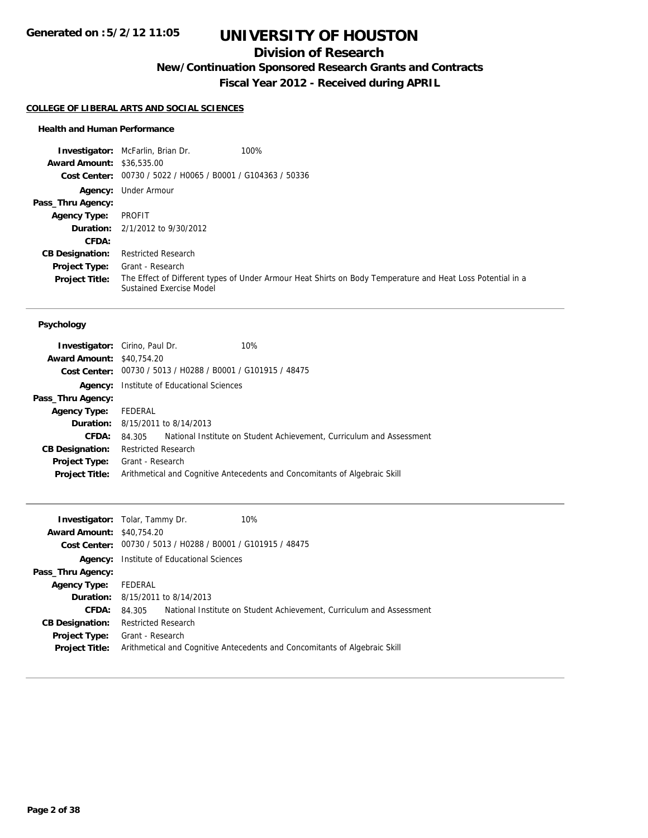# **Division of Research**

**New/Continuation Sponsored Research Grants and Contracts**

**Fiscal Year 2012 - Received during APRIL**

#### **COLLEGE OF LIBERAL ARTS AND SOCIAL SCIENCES**

### **Health and Human Performance**

|                                  | 100%<br><b>Investigator:</b> McFarlin, Brian Dr.            |                                                                                                            |
|----------------------------------|-------------------------------------------------------------|------------------------------------------------------------------------------------------------------------|
| <b>Award Amount: \$36,535.00</b> |                                                             |                                                                                                            |
|                                  | Cost Center: 00730 / 5022 / H0065 / B0001 / G104363 / 50336 |                                                                                                            |
|                                  | Agency: Under Armour                                        |                                                                                                            |
| Pass_Thru Agency:                |                                                             |                                                                                                            |
| <b>Agency Type:</b>              | PROFIT                                                      |                                                                                                            |
|                                  | <b>Duration:</b> $2/1/2012$ to $9/30/2012$                  |                                                                                                            |
| CFDA:                            |                                                             |                                                                                                            |
| <b>CB Designation:</b>           | <b>Restricted Research</b>                                  |                                                                                                            |
| Project Type:                    | Grant - Research                                            |                                                                                                            |
| <b>Project Title:</b>            | <b>Sustained Exercise Model</b>                             | The Effect of Different types of Under Armour Heat Shirts on Body Temperature and Heat Loss Potential in a |

### **Psychology**

| <b>Investigator:</b> Cirino, Paul Dr. |                            |                                                             | 10%                                                                        |
|---------------------------------------|----------------------------|-------------------------------------------------------------|----------------------------------------------------------------------------|
| <b>Award Amount: \$40.754.20</b>      |                            |                                                             |                                                                            |
|                                       |                            | Cost Center: 00730 / 5013 / H0288 / B0001 / G101915 / 48475 |                                                                            |
|                                       |                            | <b>Agency:</b> Institute of Educational Sciences            |                                                                            |
| Pass_Thru Agency:                     |                            |                                                             |                                                                            |
| <b>Agency Type:</b>                   | FEDERAL                    |                                                             |                                                                            |
|                                       |                            | <b>Duration:</b> 8/15/2011 to 8/14/2013                     |                                                                            |
| CFDA:                                 | 84.305                     |                                                             | National Institute on Student Achievement, Curriculum and Assessment       |
| <b>CB Designation:</b>                | <b>Restricted Research</b> |                                                             |                                                                            |
| Project Type:                         | Grant - Research           |                                                             |                                                                            |
| <b>Project Title:</b>                 |                            |                                                             | Arithmetical and Cognitive Antecedents and Concomitants of Algebraic Skill |
|                                       |                            |                                                             |                                                                            |

|                                  | <b>Investigator:</b> Tolar, Tammy Dr.            | 10%                                                                        |
|----------------------------------|--------------------------------------------------|----------------------------------------------------------------------------|
| <b>Award Amount: \$40.754.20</b> |                                                  |                                                                            |
|                                  |                                                  | <b>Cost Center:</b> $00730 / 5013 / 40288 / 80001 / 6101915 / 48475$       |
|                                  | <b>Agency:</b> Institute of Educational Sciences |                                                                            |
| Pass_Thru Agency:                |                                                  |                                                                            |
| <b>Agency Type:</b>              | FEDERAL                                          |                                                                            |
|                                  | <b>Duration:</b> 8/15/2011 to 8/14/2013          |                                                                            |
| CFDA:                            | 84.305                                           | National Institute on Student Achievement. Curriculum and Assessment       |
| <b>CB Designation:</b>           | <b>Restricted Research</b>                       |                                                                            |
| <b>Project Type:</b>             | Grant - Research                                 |                                                                            |
| <b>Project Title:</b>            |                                                  | Arithmetical and Cognitive Antecedents and Concomitants of Algebraic Skill |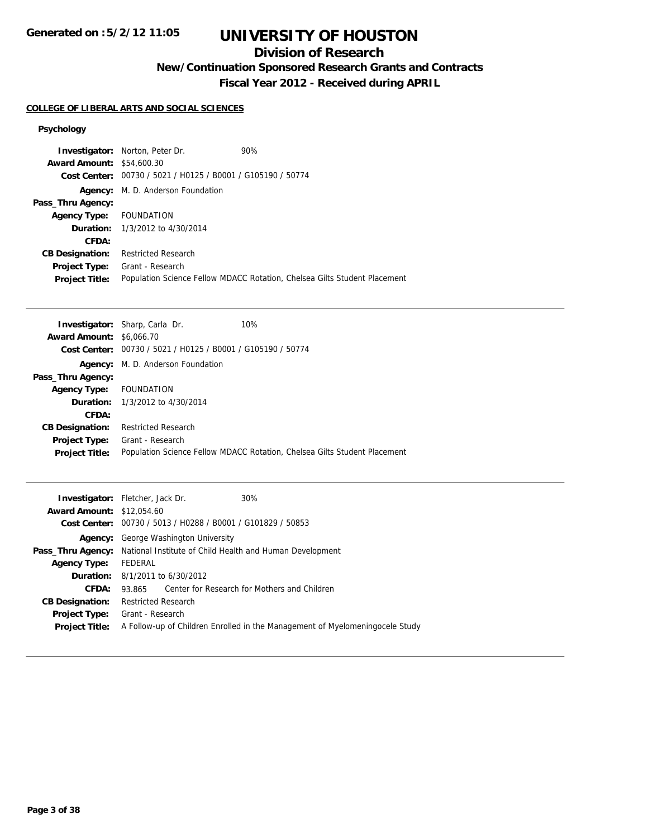# **Division of Research**

**New/Continuation Sponsored Research Grants and Contracts**

**Fiscal Year 2012 - Received during APRIL**

### **COLLEGE OF LIBERAL ARTS AND SOCIAL SCIENCES**

## **Psychology**

|                                  | <b>Investigator:</b> Norton, Peter Dr.                      | 90%                                                                       |
|----------------------------------|-------------------------------------------------------------|---------------------------------------------------------------------------|
| <b>Award Amount: \$54,600.30</b> |                                                             |                                                                           |
|                                  | Cost Center: 00730 / 5021 / H0125 / B0001 / G105190 / 50774 |                                                                           |
|                                  | Agency: M. D. Anderson Foundation                           |                                                                           |
| Pass_Thru Agency:                |                                                             |                                                                           |
| Agency Type: FOUNDATION          |                                                             |                                                                           |
|                                  | <b>Duration:</b> 1/3/2012 to 4/30/2014                      |                                                                           |
| CFDA:                            |                                                             |                                                                           |
| <b>CB Designation:</b>           | <b>Restricted Research</b>                                  |                                                                           |
| <b>Project Type:</b>             | Grant - Research                                            |                                                                           |
| <b>Project Title:</b>            |                                                             | Population Science Fellow MDACC Rotation, Chelsea Gilts Student Placement |

|                                 | <b>Investigator:</b> Sharp, Carla Dr.                                | 10%                                                                       |
|---------------------------------|----------------------------------------------------------------------|---------------------------------------------------------------------------|
| <b>Award Amount: \$6,066,70</b> |                                                                      |                                                                           |
|                                 | <b>Cost Center:</b> $00730 / 5021 / 10125 / 80001 / 6105190 / 50774$ |                                                                           |
|                                 | <b>Agency:</b> M. D. Anderson Foundation                             |                                                                           |
| Pass_Thru Agency:               |                                                                      |                                                                           |
| <b>Agency Type:</b>             | FOUNDATION                                                           |                                                                           |
|                                 | <b>Duration:</b> 1/3/2012 to 4/30/2014                               |                                                                           |
| CFDA:                           |                                                                      |                                                                           |
| <b>CB Designation:</b>          | <b>Restricted Research</b>                                           |                                                                           |
| Project Type:                   | Grant - Research                                                     |                                                                           |
| <b>Project Title:</b>           |                                                                      | Population Science Fellow MDACC Rotation, Chelsea Gilts Student Placement |
|                                 |                                                                      |                                                                           |

| <b>Investigator:</b> Fletcher, Jack Dr.<br>30%                                    |
|-----------------------------------------------------------------------------------|
| <b>Award Amount: \$12,054.60</b>                                                  |
| Cost Center: 00730 / 5013 / H0288 / B0001 / G101829 / 50853                       |
| George Washington University<br>Agency:                                           |
| <b>Pass_Thru Agency:</b> National Institute of Child Health and Human Development |
| FEDERAL                                                                           |
| <b>Duration:</b> $8/1/2011$ to $6/30/2012$                                        |
| Center for Research for Mothers and Children<br>93.865                            |
| <b>Restricted Research</b>                                                        |
| Grant - Research                                                                  |
| A Follow-up of Children Enrolled in the Management of Myelomeningocele Study      |
|                                                                                   |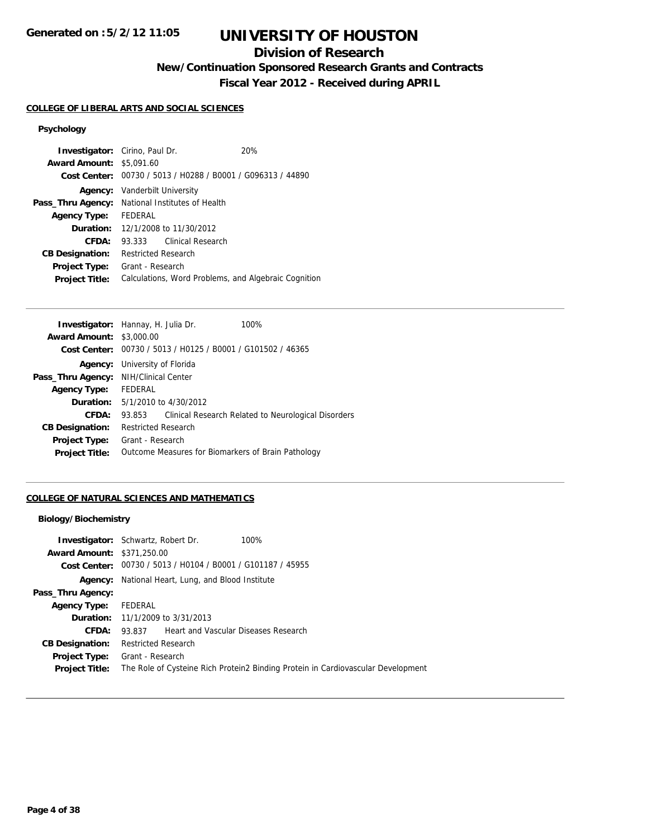# **Division of Research**

**New/Continuation Sponsored Research Grants and Contracts**

**Fiscal Year 2012 - Received during APRIL**

# **COLLEGE OF LIBERAL ARTS AND SOCIAL SCIENCES**

# **Psychology**

| <b>Investigator:</b> Cirino, Paul Dr. |                                                      |                   | 20%                                                         |
|---------------------------------------|------------------------------------------------------|-------------------|-------------------------------------------------------------|
| <b>Award Amount: \$5,091.60</b>       |                                                      |                   |                                                             |
|                                       |                                                      |                   | Cost Center: 00730 / 5013 / H0288 / B0001 / G096313 / 44890 |
| Agency:                               | Vanderbilt University                                |                   |                                                             |
|                                       | Pass_Thru Agency: National Institutes of Health      |                   |                                                             |
| <b>Agency Type:</b>                   | FEDERAL                                              |                   |                                                             |
|                                       | <b>Duration:</b> 12/1/2008 to 11/30/2012             |                   |                                                             |
| CFDA:                                 | 93.333                                               | Clinical Research |                                                             |
| <b>CB Designation:</b>                | <b>Restricted Research</b>                           |                   |                                                             |
| <b>Project Type:</b>                  | Grant - Research                                     |                   |                                                             |
| <b>Project Title:</b>                 | Calculations, Word Problems, and Algebraic Cognition |                   |                                                             |

|                                       | <b>Investigator:</b> Hannay, H. Julia Dr. | 100%                                                        |
|---------------------------------------|-------------------------------------------|-------------------------------------------------------------|
| <b>Award Amount:</b>                  | \$3,000.00                                |                                                             |
|                                       |                                           | Cost Center: 00730 / 5013 / H0125 / B0001 / G101502 / 46365 |
| Agency:                               | University of Florida                     |                                                             |
| Pass_Thru Agency: NIH/Clinical Center |                                           |                                                             |
| <b>Agency Type:</b>                   | FEDERAL                                   |                                                             |
|                                       | <b>Duration:</b> 5/1/2010 to 4/30/2012    |                                                             |
| CFDA:                                 | 93.853                                    | Clinical Research Related to Neurological Disorders         |
| <b>CB Designation:</b>                | <b>Restricted Research</b>                |                                                             |
| <b>Project Type:</b>                  | Grant - Research                          |                                                             |
| <b>Project Title:</b>                 |                                           | Outcome Measures for Biomarkers of Brain Pathology          |
|                                       |                                           |                                                             |

## **COLLEGE OF NATURAL SCIENCES AND MATHEMATICS**

### **Biology/Biochemistry**

| <b>Award Amount: \$371,250.00</b> | <b>Investigator:</b> Schwartz, Robert Dr.<br>100%<br><b>Cost Center:</b> $00730 / 5013 / 40104 / 80001 / 6101187 / 45955$ |
|-----------------------------------|---------------------------------------------------------------------------------------------------------------------------|
|                                   | <b>Agency:</b> National Heart, Lung, and Blood Institute                                                                  |
| Pass_Thru Agency:                 |                                                                                                                           |
| <b>Agency Type:</b>               | FEDERAL                                                                                                                   |
|                                   | <b>Duration:</b> 11/1/2009 to 3/31/2013                                                                                   |
| CFDA:                             | <b>Heart and Vascular Diseases Research</b><br>93.837                                                                     |
| <b>CB Designation:</b>            | <b>Restricted Research</b>                                                                                                |
| <b>Project Type:</b>              | Grant - Research                                                                                                          |
| <b>Project Title:</b>             | The Role of Cysteine Rich Protein2 Binding Protein in Cardiovascular Development                                          |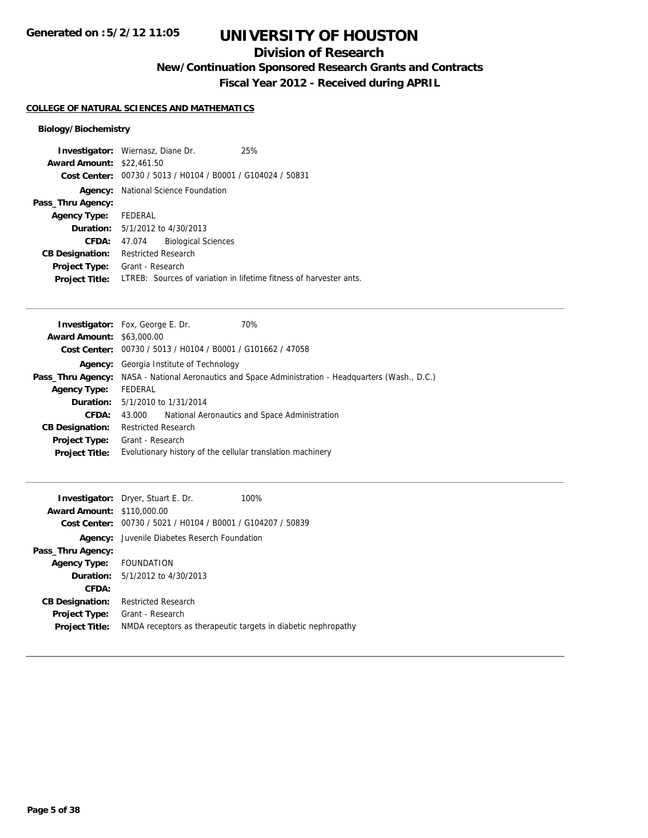# **Division of Research**

**New/Continuation Sponsored Research Grants and Contracts**

**Fiscal Year 2012 - Received during APRIL**

## **COLLEGE OF NATURAL SCIENCES AND MATHEMATICS**

## **Biology/Biochemistry**

|                                  | <b>Investigator:</b> Wiernasz, Diane Dr.                    | 25%                                                                |
|----------------------------------|-------------------------------------------------------------|--------------------------------------------------------------------|
| <b>Award Amount: \$22,461.50</b> |                                                             |                                                                    |
|                                  | Cost Center: 00730 / 5013 / H0104 / B0001 / G104024 / 50831 |                                                                    |
| Agency:                          | National Science Foundation                                 |                                                                    |
| Pass_Thru Agency:                |                                                             |                                                                    |
| <b>Agency Type:</b>              | FEDERAL                                                     |                                                                    |
|                                  | <b>Duration:</b> 5/1/2012 to 4/30/2013                      |                                                                    |
| CFDA:                            | <b>Biological Sciences</b><br>47.074                        |                                                                    |
| <b>CB Designation:</b>           | <b>Restricted Research</b>                                  |                                                                    |
| Project Type:                    | Grant - Research                                            |                                                                    |
| <b>Project Title:</b>            |                                                             | LTREB: Sources of variation in lifetime fitness of harvester ants. |

|                                  | <b>Investigator:</b> Fox, George E. Dr.<br>70%                                                             |  |  |
|----------------------------------|------------------------------------------------------------------------------------------------------------|--|--|
| <b>Award Amount: \$63,000.00</b> |                                                                                                            |  |  |
|                                  | Cost Center: 00730 / 5013 / H0104 / B0001 / G101662 / 47058                                                |  |  |
| Agency:                          | Georgia Institute of Technology                                                                            |  |  |
|                                  | <b>Pass_Thru Agency:</b> NASA - National Aeronautics and Space Administration - Headquarters (Wash., D.C.) |  |  |
| <b>Agency Type:</b>              | FEDERAL                                                                                                    |  |  |
|                                  | <b>Duration:</b> 5/1/2010 to 1/31/2014                                                                     |  |  |
| CFDA:                            | National Aeronautics and Space Administration<br>43.000                                                    |  |  |
| <b>CB Designation:</b>           | <b>Restricted Research</b>                                                                                 |  |  |
| Project Type:                    | Grant - Research                                                                                           |  |  |
| <b>Project Title:</b>            | Evolutionary history of the cellular translation machinery                                                 |  |  |

|                                   | <b>Investigator:</b> Dryer, Stuart E. Dr.                     | 100% |
|-----------------------------------|---------------------------------------------------------------|------|
| <b>Award Amount: \$110,000.00</b> |                                                               |      |
|                                   | Cost Center: 00730 / 5021 / H0104 / B0001 / G104207 / 50839   |      |
|                                   | <b>Agency:</b> Juvenile Diabetes Reserch Foundation           |      |
| Pass_Thru Agency:                 |                                                               |      |
| Agency Type: FOUNDATION           |                                                               |      |
|                                   | <b>Duration:</b> $5/1/2012$ to $4/30/2013$                    |      |
| CFDA:                             |                                                               |      |
| <b>CB Designation:</b>            | <b>Restricted Research</b>                                    |      |
| Project Type:                     | Grant - Research                                              |      |
| <b>Project Title:</b>             | NMDA receptors as therapeutic targets in diabetic nephropathy |      |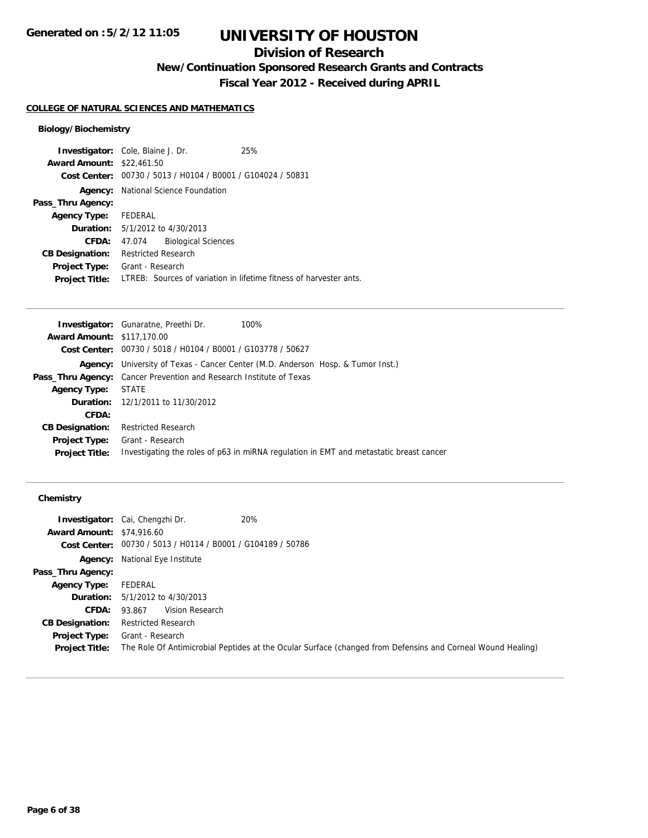# **Division of Research**

**New/Continuation Sponsored Research Grants and Contracts**

**Fiscal Year 2012 - Received during APRIL**

## **COLLEGE OF NATURAL SCIENCES AND MATHEMATICS**

## **Biology/Biochemistry**

|                                  | <b>Investigator:</b> Cole, Blaine J. Dr.       | 25%                                                                |
|----------------------------------|------------------------------------------------|--------------------------------------------------------------------|
| <b>Award Amount: \$22,461.50</b> |                                                |                                                                    |
| Cost Center:                     | 00730 / 5013 / H0104 / B0001 / G104024 / 50831 |                                                                    |
| Agency:                          | National Science Foundation                    |                                                                    |
| Pass_Thru Agency:                |                                                |                                                                    |
| <b>Agency Type:</b>              | FEDERAL                                        |                                                                    |
|                                  | <b>Duration:</b> $5/1/2012$ to $4/30/2013$     |                                                                    |
| <b>CFDA:</b>                     | <b>Biological Sciences</b><br>47.074           |                                                                    |
| <b>CB Designation:</b>           | <b>Restricted Research</b>                     |                                                                    |
| Project Type:                    | Grant - Research                               |                                                                    |
| <b>Project Title:</b>            |                                                | LTREB: Sources of variation in lifetime fitness of harvester ants. |

|                                   | <b>Investigator:</b> Gunaratne, Preethi Dr.<br>100%                                    |
|-----------------------------------|----------------------------------------------------------------------------------------|
| <b>Award Amount: \$117,170.00</b> |                                                                                        |
|                                   | <b>Cost Center:</b> $00730 / 5018 / 40104 / 80001 / 6103778 / 50627$                   |
|                                   | Agency: University of Texas - Cancer Center (M.D. Anderson Hosp. & Tumor Inst.)        |
|                                   | <b>Pass_Thru Agency:</b> Cancer Prevention and Research Institute of Texas             |
| <b>Agency Type:</b>               | STATE                                                                                  |
|                                   | <b>Duration:</b> 12/1/2011 to 11/30/2012                                               |
| CFDA:                             |                                                                                        |
| <b>CB Designation:</b>            | <b>Restricted Research</b>                                                             |
|                                   | <b>Project Type:</b> Grant - Research                                                  |
| <b>Project Title:</b>             | Investigating the roles of p63 in miRNA regulation in EMT and metastatic breast cancer |
|                                   |                                                                                        |

## **Chemistry**

|                                  | <b>Investigator:</b> Cai, Chengzhi Dr.                      | 20%                                                                                                         |
|----------------------------------|-------------------------------------------------------------|-------------------------------------------------------------------------------------------------------------|
| <b>Award Amount: \$74,916.60</b> |                                                             |                                                                                                             |
|                                  | Cost Center: 00730 / 5013 / H0114 / B0001 / G104189 / 50786 |                                                                                                             |
|                                  | <b>Agency:</b> National Eye Institute                       |                                                                                                             |
| Pass_Thru Agency:                |                                                             |                                                                                                             |
| <b>Agency Type:</b>              | FEDERAL                                                     |                                                                                                             |
|                                  | <b>Duration:</b> $5/1/2012$ to $4/30/2013$                  |                                                                                                             |
| <b>CFDA:</b>                     | Vision Research<br>93.867                                   |                                                                                                             |
| <b>CB Designation:</b>           | Restricted Research                                         |                                                                                                             |
| Project Type:                    | Grant - Research                                            |                                                                                                             |
| <b>Project Title:</b>            |                                                             | The Role Of Antimicrobial Peptides at the Ocular Surface (changed from Defensins and Corneal Wound Healing) |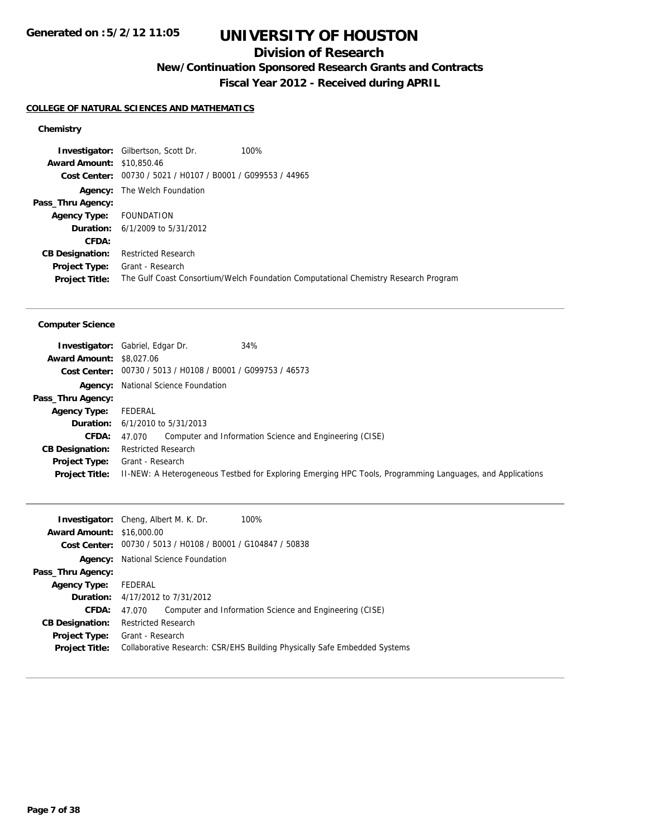# **Division of Research**

**New/Continuation Sponsored Research Grants and Contracts**

**Fiscal Year 2012 - Received during APRIL**

#### **COLLEGE OF NATURAL SCIENCES AND MATHEMATICS**

### **Chemistry**

**Investigator:** Gilbertson, Scott Dr. 100% **Award Amount:** \$10,850.46 **Cost Center:** 00730 / 5021 / H0107 / B0001 / G099553 / 44965 **Agency:** The Welch Foundation **Pass\_Thru Agency: Agency Type:** FOUNDATION **Duration:** 6/1/2009 to 5/31/2012 **CFDA: CB Designation:** Restricted Research **Project Type:** Grant - Research **Project Title:** The Gulf Coast Consortium/Welch Foundation Computational Chemistry Research Program

#### **Computer Science**

|                                 | 34%<br><b>Investigator:</b> Gabriel, Edgar Dr.              |                                                                                                           |
|---------------------------------|-------------------------------------------------------------|-----------------------------------------------------------------------------------------------------------|
| <b>Award Amount: \$8,027,06</b> |                                                             |                                                                                                           |
|                                 | Cost Center: 00730 / 5013 / H0108 / B0001 / G099753 / 46573 |                                                                                                           |
|                                 | <b>Agency:</b> National Science Foundation                  |                                                                                                           |
| Pass_Thru Agency:               |                                                             |                                                                                                           |
| <b>Agency Type:</b>             | FEDERAL                                                     |                                                                                                           |
|                                 | <b>Duration:</b> $6/1/2010$ to $5/31/2013$                  |                                                                                                           |
| <b>CFDA:</b>                    | 47.070                                                      | Computer and Information Science and Engineering (CISE)                                                   |
| <b>CB Designation:</b>          | <b>Restricted Research</b>                                  |                                                                                                           |
| Project Type:                   | Grant - Research                                            |                                                                                                           |
| <b>Project Title:</b>           |                                                             | II-NEW: A Heterogeneous Testbed for Exploring Emerging HPC Tools, Programming Languages, and Applications |

| <b>Investigator:</b> Cheng, Albert M. K. Dr. |                                                                           |                                                | 100%                                                    |  |
|----------------------------------------------|---------------------------------------------------------------------------|------------------------------------------------|---------------------------------------------------------|--|
| <b>Award Amount: \$16,000.00</b>             |                                                                           |                                                |                                                         |  |
| Cost Center:                                 |                                                                           | 00730 / 5013 / H0108 / B0001 / G104847 / 50838 |                                                         |  |
| Agency:                                      |                                                                           | National Science Foundation                    |                                                         |  |
| Pass_Thru Agency:                            |                                                                           |                                                |                                                         |  |
| <b>Agency Type:</b>                          | FEDERAL                                                                   |                                                |                                                         |  |
|                                              | <b>Duration:</b> 4/17/2012 to 7/31/2012                                   |                                                |                                                         |  |
| CFDA:                                        | 47.070                                                                    |                                                | Computer and Information Science and Engineering (CISE) |  |
| <b>CB Designation:</b>                       | <b>Restricted Research</b>                                                |                                                |                                                         |  |
| <b>Project Type:</b>                         | Grant - Research                                                          |                                                |                                                         |  |
| <b>Project Title:</b>                        | Collaborative Research: CSR/EHS Building Physically Safe Embedded Systems |                                                |                                                         |  |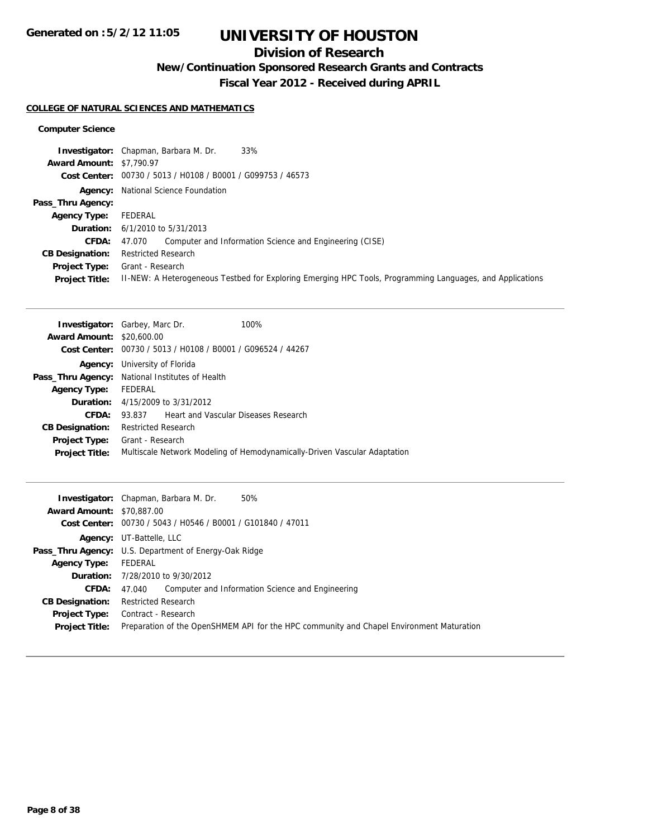# **Division of Research**

**New/Continuation Sponsored Research Grants and Contracts**

**Fiscal Year 2012 - Received during APRIL**

### **COLLEGE OF NATURAL SCIENCES AND MATHEMATICS**

### **Computer Science**

|                                 | 33%<br><b>Investigator:</b> Chapman, Barbara M. Dr.                                                       |
|---------------------------------|-----------------------------------------------------------------------------------------------------------|
| <b>Award Amount: \$7,790.97</b> |                                                                                                           |
|                                 | Cost Center: 00730 / 5013 / H0108 / B0001 / G099753 / 46573                                               |
|                                 | <b>Agency:</b> National Science Foundation                                                                |
| Pass_Thru Agency:               |                                                                                                           |
| <b>Agency Type:</b>             | FEDERAL                                                                                                   |
|                                 | <b>Duration:</b> $6/1/2010$ to $5/31/2013$                                                                |
| <b>CFDA:</b>                    | Computer and Information Science and Engineering (CISE)<br>47.070                                         |
| <b>CB Designation:</b>          | <b>Restricted Research</b>                                                                                |
| Project Type:                   | Grant - Research                                                                                          |
| <b>Project Title:</b>           | II-NEW: A Heterogeneous Testbed for Exploring Emerging HPC Tools, Programming Languages, and Applications |

| <b>Investigator:</b> Garbey, Marc Dr. |                                                                           |                                                             | $100\%$ |  |  |
|---------------------------------------|---------------------------------------------------------------------------|-------------------------------------------------------------|---------|--|--|
| <b>Award Amount: \$20,600.00</b>      |                                                                           |                                                             |         |  |  |
|                                       |                                                                           | Cost Center: 00730 / 5013 / H0108 / B0001 / G096524 / 44267 |         |  |  |
|                                       |                                                                           | <b>Agency:</b> University of Florida                        |         |  |  |
|                                       |                                                                           | Pass_Thru Agency: National Institutes of Health             |         |  |  |
| <b>Agency Type:</b>                   | FEDERAL                                                                   |                                                             |         |  |  |
|                                       | <b>Duration:</b> $4/15/2009$ to $3/31/2012$                               |                                                             |         |  |  |
| CFDA:                                 | 93.837                                                                    | <b>Heart and Vascular Diseases Research</b>                 |         |  |  |
| <b>CB Designation:</b>                | <b>Restricted Research</b>                                                |                                                             |         |  |  |
| <b>Project Type:</b>                  | Grant - Research                                                          |                                                             |         |  |  |
| <b>Project Title:</b>                 | Multiscale Network Modeling of Hemodynamically-Driven Vascular Adaptation |                                                             |         |  |  |
|                                       |                                                                           |                                                             |         |  |  |

|                                  | 50%<br><b>Investigator:</b> Chapman, Barbara M. Dr.                                      |
|----------------------------------|------------------------------------------------------------------------------------------|
| <b>Award Amount: \$70,887,00</b> |                                                                                          |
|                                  | Cost Center: 00730 / 5043 / H0546 / B0001 / G101840 / 47011                              |
|                                  | <b>Agency:</b> UT-Battelle, LLC                                                          |
|                                  | <b>Pass_Thru Agency:</b> U.S. Department of Energy-Oak Ridge                             |
| <b>Agency Type:</b>              | FEDERAL                                                                                  |
|                                  | <b>Duration:</b> 7/28/2010 to 9/30/2012                                                  |
| <b>CFDA:</b>                     | 47.040 Computer and Information Science and Engineering                                  |
| <b>CB Designation:</b>           | <b>Restricted Research</b>                                                               |
| <b>Project Type:</b>             | Contract - Research                                                                      |
| <b>Project Title:</b>            | Preparation of the OpenSHMEM API for the HPC community and Chapel Environment Maturation |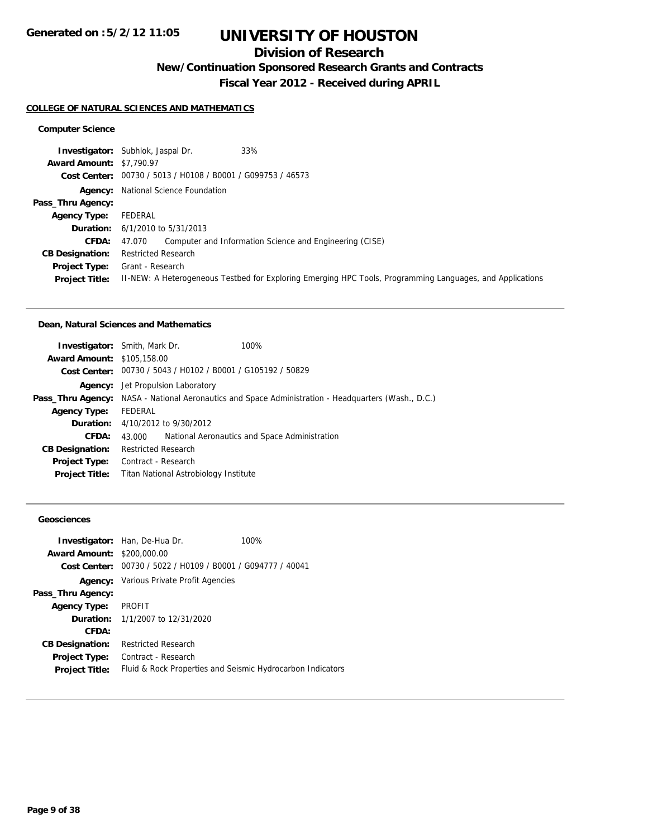# **Division of Research**

**New/Continuation Sponsored Research Grants and Contracts**

**Fiscal Year 2012 - Received during APRIL**

#### **COLLEGE OF NATURAL SCIENCES AND MATHEMATICS**

### **Computer Science**

|                                 | 33%<br><b>Investigator:</b> Subhlok, Jaspal Dr.                                                           |
|---------------------------------|-----------------------------------------------------------------------------------------------------------|
| <b>Award Amount: \$7,790.97</b> |                                                                                                           |
|                                 | Cost Center: 00730 / 5013 / H0108 / B0001 / G099753 / 46573                                               |
|                                 | <b>Agency:</b> National Science Foundation                                                                |
| Pass_Thru Agency:               |                                                                                                           |
| <b>Agency Type:</b>             | FEDERAL                                                                                                   |
|                                 | <b>Duration:</b> $6/1/2010$ to $5/31/2013$                                                                |
| <b>CFDA:</b>                    | Computer and Information Science and Engineering (CISE)<br>47.070                                         |
| <b>CB Designation:</b>          | <b>Restricted Research</b>                                                                                |
| <b>Project Type:</b>            | Grant - Research                                                                                          |
| <b>Project Title:</b>           | II-NEW: A Heterogeneous Testbed for Exploring Emerging HPC Tools, Programming Languages, and Applications |

#### **Dean, Natural Sciences and Mathematics**

| <b>Investigator:</b> Smith, Mark Dr. |                            |                                                             | 100%                                                                                                       |  |  |
|--------------------------------------|----------------------------|-------------------------------------------------------------|------------------------------------------------------------------------------------------------------------|--|--|
| <b>Award Amount: \$105,158.00</b>    |                            |                                                             |                                                                                                            |  |  |
|                                      |                            | Cost Center: 00730 / 5043 / H0102 / B0001 / G105192 / 50829 |                                                                                                            |  |  |
|                                      |                            | <b>Agency:</b> Jet Propulsion Laboratory                    |                                                                                                            |  |  |
|                                      |                            |                                                             | <b>Pass_Thru Agency:</b> NASA - National Aeronautics and Space Administration - Headquarters (Wash., D.C.) |  |  |
| <b>Agency Type:</b>                  | FEDERAL                    |                                                             |                                                                                                            |  |  |
|                                      |                            | <b>Duration:</b> $4/10/2012$ to $9/30/2012$                 |                                                                                                            |  |  |
| CFDA:                                | 43.000                     |                                                             | National Aeronautics and Space Administration                                                              |  |  |
| <b>CB Designation:</b>               | <b>Restricted Research</b> |                                                             |                                                                                                            |  |  |
| <b>Project Type:</b>                 | Contract - Research        |                                                             |                                                                                                            |  |  |
| <b>Project Title:</b>                |                            | Titan National Astrobiology Institute                       |                                                                                                            |  |  |
|                                      |                            |                                                             |                                                                                                            |  |  |

## **Geosciences**

|                                   | <b>Investigator:</b> Han, De-Hua Dr.                        | 100% |
|-----------------------------------|-------------------------------------------------------------|------|
| <b>Award Amount: \$200,000.00</b> |                                                             |      |
|                                   | Cost Center: 00730 / 5022 / H0109 / B0001 / G094777 / 40041 |      |
|                                   | <b>Agency:</b> Various Private Profit Agencies              |      |
| Pass_Thru Agency:                 |                                                             |      |
| Agency Type: PROFIT               |                                                             |      |
|                                   | <b>Duration:</b> $1/1/2007$ to $12/31/2020$                 |      |
| CFDA:                             |                                                             |      |
| <b>CB Designation:</b>            | <b>Restricted Research</b>                                  |      |
| Project Type:                     | Contract - Research                                         |      |
| <b>Project Title:</b>             | Fluid & Rock Properties and Seismic Hydrocarbon Indicators  |      |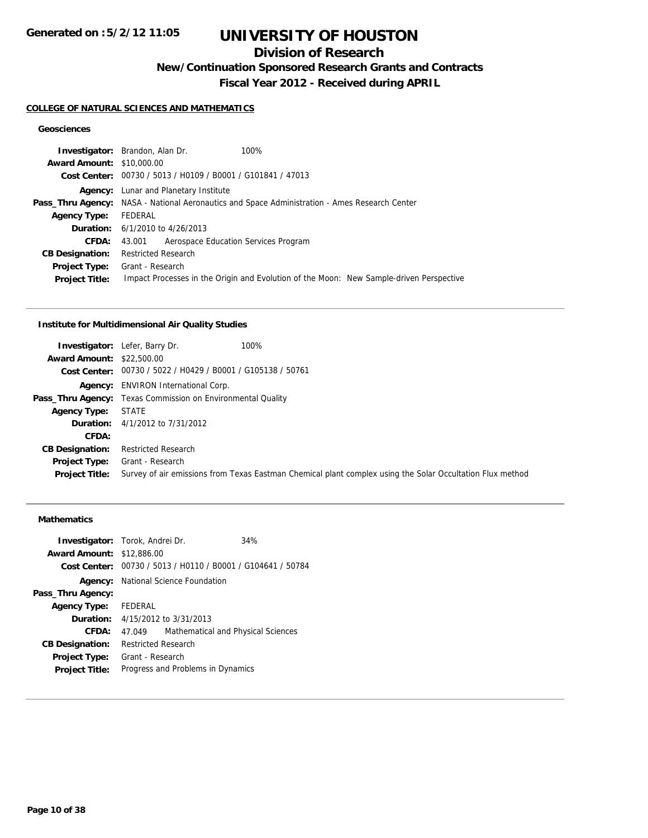# **Division of Research**

**New/Continuation Sponsored Research Grants and Contracts**

**Fiscal Year 2012 - Received during APRIL**

#### **COLLEGE OF NATURAL SCIENCES AND MATHEMATICS**

## **Geosciences**

|                                  | <b>Investigator:</b> Brandon, Alan Dr.<br>100%                                                       |
|----------------------------------|------------------------------------------------------------------------------------------------------|
| <b>Award Amount: \$10,000.00</b> |                                                                                                      |
|                                  | Cost Center: 00730 / 5013 / H0109 / B0001 / G101841 / 47013                                          |
|                                  | <b>Agency:</b> Lunar and Planetary Institute                                                         |
|                                  | <b>Pass_Thru Agency:</b> NASA - National Aeronautics and Space Administration - Ames Research Center |
| <b>Agency Type:</b>              | FEDERAL                                                                                              |
|                                  | <b>Duration:</b> $6/1/2010$ to $4/26/2013$                                                           |
| <b>CFDA:</b>                     | Aerospace Education Services Program<br>43.001                                                       |
| <b>CB Designation:</b>           | <b>Restricted Research</b>                                                                           |
| Project Type:                    | Grant - Research                                                                                     |
| <b>Project Title:</b>            | Impact Processes in the Origin and Evolution of the Moon: New Sample-driven Perspective              |
|                                  |                                                                                                      |

#### **Institute for Multidimensional Air Quality Studies**

|                                  | 100%<br><b>Investigator:</b> Lefer, Barry Dr.                                                             |
|----------------------------------|-----------------------------------------------------------------------------------------------------------|
| <b>Award Amount: \$22,500.00</b> |                                                                                                           |
|                                  | Cost Center: 00730 / 5022 / H0429 / B0001 / G105138 / 50761                                               |
|                                  | <b>Agency:</b> ENVIRON International Corp.                                                                |
|                                  | <b>Pass_Thru Agency:</b> Texas Commission on Environmental Quality                                        |
| <b>Agency Type:</b>              | <b>STATE</b>                                                                                              |
|                                  | <b>Duration:</b> 4/1/2012 to 7/31/2012                                                                    |
| CFDA:                            |                                                                                                           |
| <b>CB Designation:</b>           | <b>Restricted Research</b>                                                                                |
| Project Type:                    | Grant - Research                                                                                          |
| <b>Project Title:</b>            | Survey of air emissions from Texas Eastman Chemical plant complex using the Solar Occultation Flux method |

## **Mathematics**

| <b>Award Amount: \$12,886.00</b><br>00730 / 5013 / H0110 / B0001 / G104641 / 50784<br>Cost Center:<br><b>Agency:</b> National Science Foundation<br>Pass_Thru Agency:<br>FEDERAL<br><b>Agency Type:</b><br><b>Duration:</b> 4/15/2012 to 3/31/2013<br>CFDA:<br>Mathematical and Physical Sciences<br>47.049<br><b>Restricted Research</b><br><b>CB Designation:</b><br>Grant - Research<br><b>Project Type:</b><br>Progress and Problems in Dynamics<br><b>Project Title:</b> | <b>Investigator:</b> Torok, Andrei Dr. |  |  | 34% |
|-------------------------------------------------------------------------------------------------------------------------------------------------------------------------------------------------------------------------------------------------------------------------------------------------------------------------------------------------------------------------------------------------------------------------------------------------------------------------------|----------------------------------------|--|--|-----|
|                                                                                                                                                                                                                                                                                                                                                                                                                                                                               |                                        |  |  |     |
|                                                                                                                                                                                                                                                                                                                                                                                                                                                                               |                                        |  |  |     |
|                                                                                                                                                                                                                                                                                                                                                                                                                                                                               |                                        |  |  |     |
|                                                                                                                                                                                                                                                                                                                                                                                                                                                                               |                                        |  |  |     |
|                                                                                                                                                                                                                                                                                                                                                                                                                                                                               |                                        |  |  |     |
|                                                                                                                                                                                                                                                                                                                                                                                                                                                                               |                                        |  |  |     |
|                                                                                                                                                                                                                                                                                                                                                                                                                                                                               |                                        |  |  |     |
|                                                                                                                                                                                                                                                                                                                                                                                                                                                                               |                                        |  |  |     |
|                                                                                                                                                                                                                                                                                                                                                                                                                                                                               |                                        |  |  |     |
|                                                                                                                                                                                                                                                                                                                                                                                                                                                                               |                                        |  |  |     |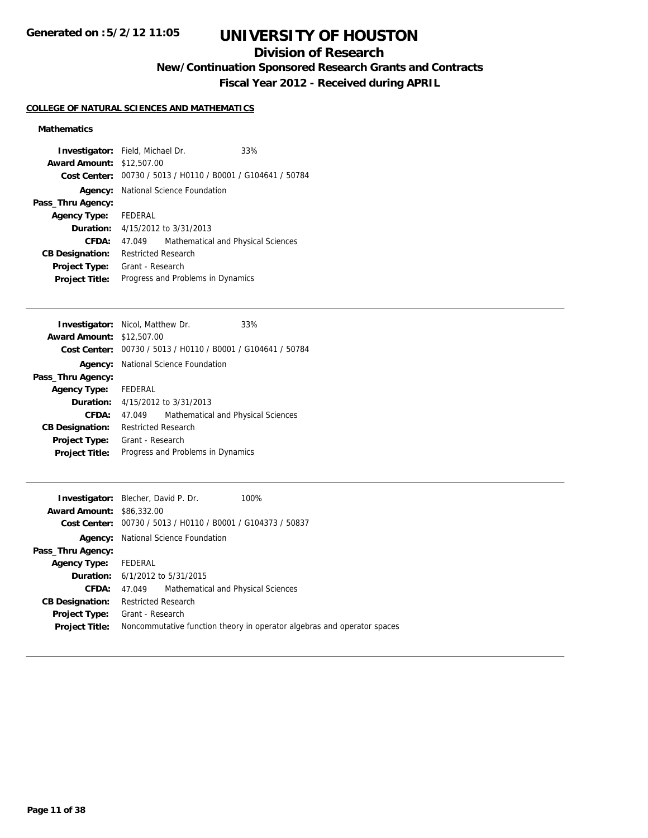# **Division of Research**

**New/Continuation Sponsored Research Grants and Contracts**

**Fiscal Year 2012 - Received during APRIL**

## **COLLEGE OF NATURAL SCIENCES AND MATHEMATICS**

## **Mathematics**

| <b>Investigator:</b> Field, Michael Dr. |                            |                                                             | 33% |
|-----------------------------------------|----------------------------|-------------------------------------------------------------|-----|
| <b>Award Amount: \$12,507.00</b>        |                            |                                                             |     |
|                                         |                            | Cost Center: 00730 / 5013 / H0110 / B0001 / G104641 / 50784 |     |
|                                         |                            | <b>Agency:</b> National Science Foundation                  |     |
| Pass_Thru Agency:                       |                            |                                                             |     |
| <b>Agency Type:</b> FEDERAL             |                            |                                                             |     |
|                                         |                            | <b>Duration:</b> 4/15/2012 to 3/31/2013                     |     |
| CFDA:                                   | 47.049                     | Mathematical and Physical Sciences                          |     |
| <b>CB Designation:</b>                  | <b>Restricted Research</b> |                                                             |     |
| <b>Project Type:</b>                    | Grant - Research           |                                                             |     |
| <b>Project Title:</b>                   |                            | Progress and Problems in Dynamics                           |     |

| <b>Award Amount: \$12,507.00</b><br>Cost Center: 00730 / 5013 / H0110 / B0001 / G104641 / 50784<br><b>Agency:</b> National Science Foundation<br>Pass_Thru Agency:<br><b>Agency Type:</b> FEDERAL<br><b>Duration:</b> $4/15/2012$ to $3/31/2013$<br>CFDA:<br>Mathematical and Physical Sciences<br>47.049<br><b>Restricted Research</b><br><b>CB Designation:</b><br>Grant - Research<br><b>Project Type:</b><br>Progress and Problems in Dynamics<br><b>Project Title:</b> | <b>Investigator:</b> Nicol, Matthew Dr. |  |  | 33% |
|-----------------------------------------------------------------------------------------------------------------------------------------------------------------------------------------------------------------------------------------------------------------------------------------------------------------------------------------------------------------------------------------------------------------------------------------------------------------------------|-----------------------------------------|--|--|-----|
|                                                                                                                                                                                                                                                                                                                                                                                                                                                                             |                                         |  |  |     |
|                                                                                                                                                                                                                                                                                                                                                                                                                                                                             |                                         |  |  |     |
|                                                                                                                                                                                                                                                                                                                                                                                                                                                                             |                                         |  |  |     |
|                                                                                                                                                                                                                                                                                                                                                                                                                                                                             |                                         |  |  |     |
|                                                                                                                                                                                                                                                                                                                                                                                                                                                                             |                                         |  |  |     |
|                                                                                                                                                                                                                                                                                                                                                                                                                                                                             |                                         |  |  |     |
|                                                                                                                                                                                                                                                                                                                                                                                                                                                                             |                                         |  |  |     |
|                                                                                                                                                                                                                                                                                                                                                                                                                                                                             |                                         |  |  |     |
|                                                                                                                                                                                                                                                                                                                                                                                                                                                                             |                                         |  |  |     |
|                                                                                                                                                                                                                                                                                                                                                                                                                                                                             |                                         |  |  |     |

| <b>Investigator:</b> Blecher, David P. Dr. |                            |                                                             | 100%                                                                    |
|--------------------------------------------|----------------------------|-------------------------------------------------------------|-------------------------------------------------------------------------|
| <b>Award Amount: \$86,332.00</b>           |                            |                                                             |                                                                         |
|                                            |                            | Cost Center: 00730 / 5013 / H0110 / B0001 / G104373 / 50837 |                                                                         |
|                                            |                            | <b>Agency:</b> National Science Foundation                  |                                                                         |
| Pass_Thru Agency:                          |                            |                                                             |                                                                         |
| Agency Type: FEDERAL                       |                            |                                                             |                                                                         |
| <b>Duration:</b> 6/1/2012 to 5/31/2015     |                            |                                                             |                                                                         |
| CFDA:                                      | 47.049                     | Mathematical and Physical Sciences                          |                                                                         |
| <b>CB Designation:</b>                     | <b>Restricted Research</b> |                                                             |                                                                         |
| <b>Project Type:</b>                       | Grant - Research           |                                                             |                                                                         |
| <b>Project Title:</b>                      |                            |                                                             | Noncommutative function theory in operator algebras and operator spaces |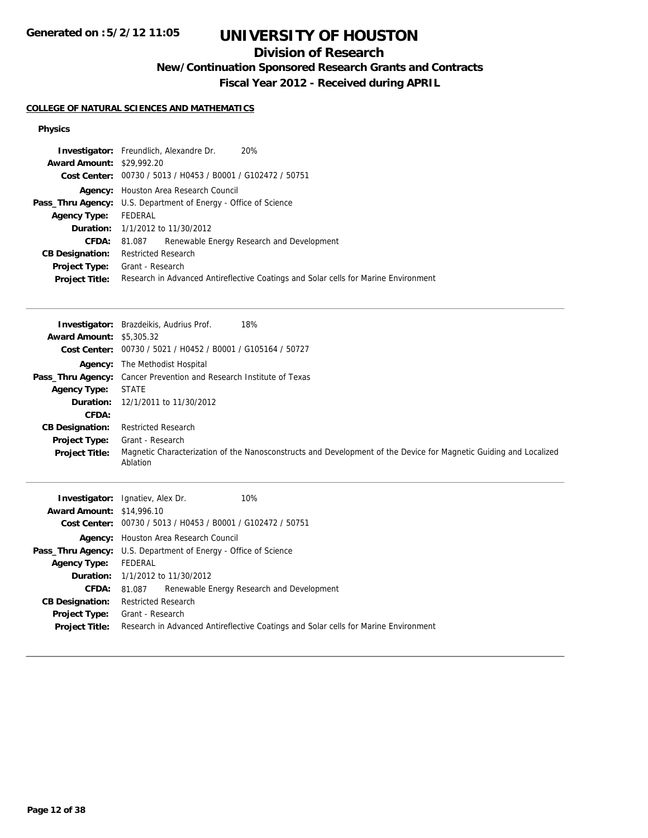# **Division of Research**

**New/Continuation Sponsored Research Grants and Contracts**

**Fiscal Year 2012 - Received during APRIL**

## **COLLEGE OF NATURAL SCIENCES AND MATHEMATICS**

### **Physics**

|                                  | <b>Investigator:</b> Freundlich, Alexandre Dr.<br>20%                               |  |
|----------------------------------|-------------------------------------------------------------------------------------|--|
| <b>Award Amount: \$29,992.20</b> |                                                                                     |  |
|                                  | Cost Center: 00730 / 5013 / H0453 / B0001 / G102472 / 50751                         |  |
|                                  | Agency: Houston Area Research Council                                               |  |
|                                  | <b>Pass_Thru Agency:</b> U.S. Department of Energy - Office of Science              |  |
| Agency Type: FEDERAL             |                                                                                     |  |
|                                  | <b>Duration:</b> 1/1/2012 to 11/30/2012                                             |  |
| <b>CFDA:</b>                     | Renewable Energy Research and Development<br>81.087                                 |  |
| <b>CB Designation:</b>           | <b>Restricted Research</b>                                                          |  |
|                                  | <b>Project Type:</b> Grant - Research                                               |  |
| <b>Project Title:</b>            | Research in Advanced Antireflective Coatings and Solar cells for Marine Environment |  |

|                                 | 18%<br><b>Investigator:</b> Brazdeikis, Audrius Prof.                                                                         |
|---------------------------------|-------------------------------------------------------------------------------------------------------------------------------|
| <b>Award Amount: \$5,305.32</b> |                                                                                                                               |
|                                 | Cost Center: 00730 / 5021 / H0452 / B0001 / G105164 / 50727                                                                   |
| Agency:                         | The Methodist Hospital                                                                                                        |
|                                 | <b>Pass_Thru Agency:</b> Cancer Prevention and Research Institute of Texas                                                    |
| <b>Agency Type:</b>             | <b>STATE</b>                                                                                                                  |
|                                 | <b>Duration:</b> 12/1/2011 to 11/30/2012                                                                                      |
| CFDA:                           |                                                                                                                               |
| <b>CB Designation:</b>          | <b>Restricted Research</b>                                                                                                    |
| <b>Project Type:</b>            | Grant - Research                                                                                                              |
| <b>Project Title:</b>           | Magnetic Characterization of the Nanosconstructs and Development of the Device for Magnetic Guiding and Localized<br>Ablation |
|                                 |                                                                                                                               |

|                                  | 10%<br><b>Investigator:</b> Ignatiev, Alex Dr.                                      |
|----------------------------------|-------------------------------------------------------------------------------------|
| <b>Award Amount: \$14,996.10</b> |                                                                                     |
|                                  | Cost Center: 00730 / 5013 / H0453 / B0001 / G102472 / 50751                         |
|                                  | <b>Agency:</b> Houston Area Research Council                                        |
|                                  | <b>Pass_Thru Agency:</b> U.S. Department of Energy - Office of Science              |
| <b>Agency Type:</b>              | FEDERAL                                                                             |
|                                  | <b>Duration:</b> 1/1/2012 to 11/30/2012                                             |
| <b>CFDA:</b>                     | 81.087 Renewable Energy Research and Development                                    |
| <b>CB Designation:</b>           | <b>Restricted Research</b>                                                          |
| Project Type:                    | Grant - Research                                                                    |
| <b>Project Title:</b>            | Research in Advanced Antireflective Coatings and Solar cells for Marine Environment |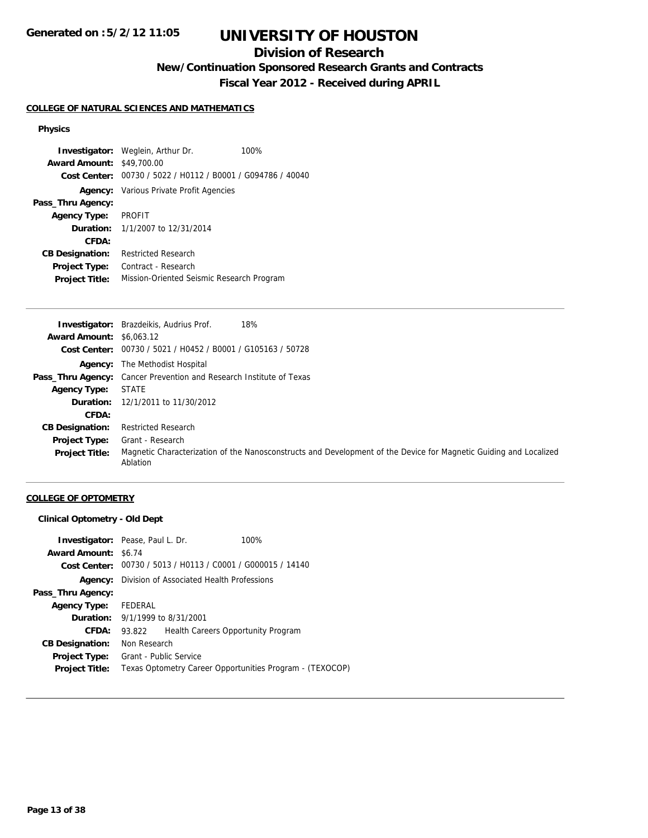# **Division of Research**

**New/Continuation Sponsored Research Grants and Contracts**

**Fiscal Year 2012 - Received during APRIL**

### **COLLEGE OF NATURAL SCIENCES AND MATHEMATICS**

#### **Physics**

**Investigator:** Weglein, Arthur Dr. 100% **Award Amount:** \$49,700.00 **Cost Center:** 00730 / 5022 / H0112 / B0001 / G094786 / 40040 **Agency:** Various Private Profit Agencies **Pass\_Thru Agency: Agency Type:** PROFIT **Duration:** 1/1/2007 to 12/31/2014 **CFDA: CB Designation:** Restricted Research **Project Type:** Contract - Research **Project Title:** Mission-Oriented Seismic Research Program

|                                 | 18%<br><b>Investigator:</b> Brazdeikis, Audrius Prof.                                                                         |
|---------------------------------|-------------------------------------------------------------------------------------------------------------------------------|
| <b>Award Amount: \$6,063.12</b> |                                                                                                                               |
|                                 | Cost Center: 00730 / 5021 / H0452 / B0001 / G105163 / 50728                                                                   |
|                                 | <b>Agency:</b> The Methodist Hospital                                                                                         |
|                                 | <b>Pass_Thru Agency:</b> Cancer Prevention and Research Institute of Texas                                                    |
| <b>Agency Type:</b>             | <b>STATE</b>                                                                                                                  |
|                                 | <b>Duration:</b> 12/1/2011 to 11/30/2012                                                                                      |
| CFDA:                           |                                                                                                                               |
| <b>CB Designation:</b>          | <b>Restricted Research</b>                                                                                                    |
| <b>Project Type:</b>            | Grant - Research                                                                                                              |
| <b>Project Title:</b>           | Magnetic Characterization of the Nanosconstructs and Development of the Device for Magnetic Guiding and Localized<br>Ablation |

#### **COLLEGE OF OPTOMETRY**

#### **Clinical Optometry - Old Dept**

|                        | <b>Investigator:</b> Pease, Paul L. Dr.                     | 100%                               |
|------------------------|-------------------------------------------------------------|------------------------------------|
| <b>Award Amount:</b>   | \$6.74                                                      |                                    |
|                        | Cost Center: 00730 / 5013 / H0113 / C0001 / G000015 / 14140 |                                    |
| Agency:                | Division of Associated Health Professions                   |                                    |
| Pass_Thru Agency:      |                                                             |                                    |
| <b>Agency Type:</b>    | FEDERAL                                                     |                                    |
|                        | <b>Duration:</b> 9/1/1999 to 8/31/2001                      |                                    |
| CFDA:                  | 93.822                                                      | Health Careers Opportunity Program |
| <b>CB Designation:</b> | Non Research                                                |                                    |
| <b>Project Type:</b>   | <b>Grant - Public Service</b>                               |                                    |
| <b>Project Title:</b>  | Texas Optometry Career Opportunities Program - (TEXOCOP)    |                                    |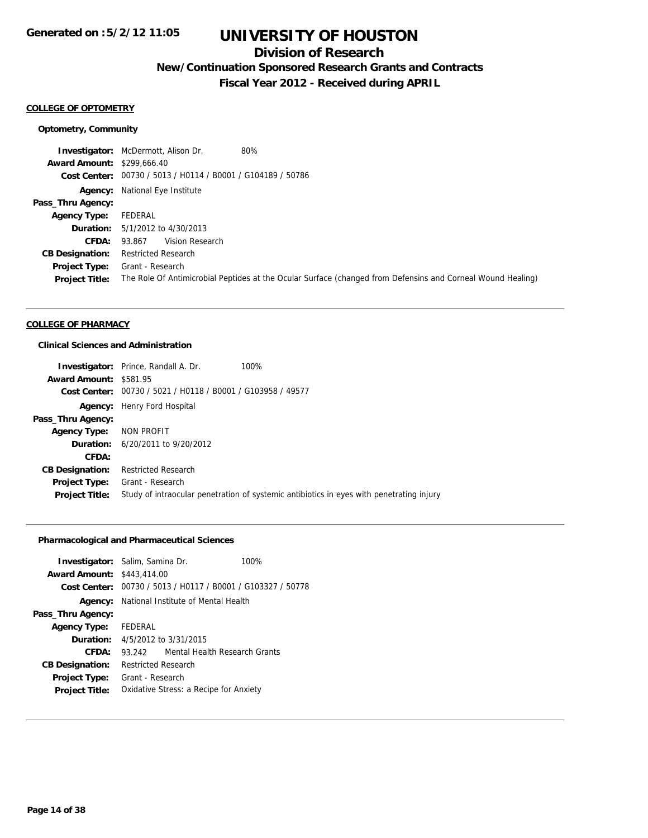## **Division of Research**

**New/Continuation Sponsored Research Grants and Contracts**

**Fiscal Year 2012 - Received during APRIL**

#### **COLLEGE OF OPTOMETRY**

#### **Optometry, Community**

**Investigator:** McDermott, Alison Dr. 80% **Award Amount:** \$299,666.40 **Cost Center:** 00730 / 5013 / H0114 / B0001 / G104189 / 50786 **Agency:** National Eye Institute **Pass\_Thru Agency: Agency Type:** FEDERAL **Duration:** 5/1/2012 to 4/30/2013 **CFDA:** 93.867 Vision Research **CB Designation:** Restricted Research **Project Type:** Grant - Research **Project Title:** The Role Of Antimicrobial Peptides at the Ocular Surface (changed from Defensins and Corneal Wound Healing)

### **COLLEGE OF PHARMACY**

### **Clinical Sciences and Administration**

|                               | 100%<br><b>Investigator:</b> Prince, Randall A. Dr.                                      |
|-------------------------------|------------------------------------------------------------------------------------------|
| <b>Award Amount: \$581.95</b> |                                                                                          |
|                               | Cost Center: 00730 / 5021 / H0118 / B0001 / G103958 / 49577                              |
|                               | <b>Agency:</b> Henry Ford Hospital                                                       |
| Pass_Thru Agency:             |                                                                                          |
| Agency Type: NON PROFIT       |                                                                                          |
|                               | <b>Duration:</b> 6/20/2011 to 9/20/2012                                                  |
| CFDA:                         |                                                                                          |
| <b>CB Designation:</b>        | <b>Restricted Research</b>                                                               |
| Project Type:                 | Grant - Research                                                                         |
| <b>Project Title:</b>         | Study of intraocular penetration of systemic antibiotics in eyes with penetrating injury |

## **Pharmacological and Pharmaceutical Sciences**

| <b>Investigator:</b> Salim, Samina Dr. |                                                             |                               | 100% |
|----------------------------------------|-------------------------------------------------------------|-------------------------------|------|
| <b>Award Amount: \$443,414.00</b>      |                                                             |                               |      |
|                                        | Cost Center: 00730 / 5013 / H0117 / B0001 / G103327 / 50778 |                               |      |
|                                        | <b>Agency:</b> National Institute of Mental Health          |                               |      |
| Pass_Thru Agency:                      |                                                             |                               |      |
| <b>Agency Type:</b>                    | FEDERAL                                                     |                               |      |
|                                        | <b>Duration:</b> 4/5/2012 to 3/31/2015                      |                               |      |
| CFDA:                                  | 93.242                                                      | Mental Health Research Grants |      |
| <b>CB Designation:</b>                 | <b>Restricted Research</b>                                  |                               |      |
| <b>Project Type:</b>                   | Grant - Research                                            |                               |      |
| <b>Project Title:</b>                  | Oxidative Stress: a Recipe for Anxiety                      |                               |      |
|                                        |                                                             |                               |      |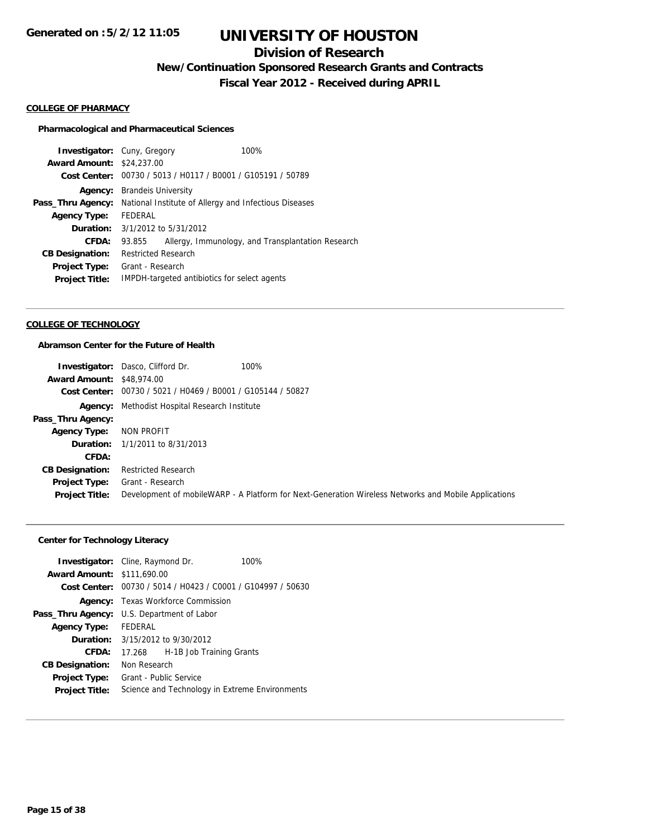# **Division of Research**

**New/Continuation Sponsored Research Grants and Contracts**

**Fiscal Year 2012 - Received during APRIL**

#### **COLLEGE OF PHARMACY**

#### **Pharmacological and Pharmaceutical Sciences**

| <b>Investigator:</b> Cuny, Gregory |                                                       | 100%                                                        |  |
|------------------------------------|-------------------------------------------------------|-------------------------------------------------------------|--|
| <b>Award Amount: \$24,237.00</b>   |                                                       |                                                             |  |
|                                    |                                                       | Cost Center: 00730 / 5013 / H0117 / B0001 / G105191 / 50789 |  |
| Agency:                            | <b>Brandels University</b>                            |                                                             |  |
| Pass_Thru Agency:                  | National Institute of Allergy and Infectious Diseases |                                                             |  |
| <b>Agency Type:</b>                | FEDERAL                                               |                                                             |  |
| Duration:                          | 3/1/2012 to 5/31/2012                                 |                                                             |  |
| CFDA:                              | 93.855                                                | Allergy, Immunology, and Transplantation Research           |  |
| <b>CB Designation:</b>             | <b>Restricted Research</b>                            |                                                             |  |
| <b>Project Type:</b>               | Grant - Research                                      |                                                             |  |
| <b>Project Title:</b>              |                                                       | IMPDH-targeted antibiotics for select agents                |  |

#### **COLLEGE OF TECHNOLOGY**

## **Abramson Center for the Future of Health**

|                                  | 100%<br><b>Investigator:</b> Dasco, Clifford Dr.                                                      |
|----------------------------------|-------------------------------------------------------------------------------------------------------|
| <b>Award Amount: \$48,974.00</b> |                                                                                                       |
|                                  | Cost Center: 00730 / 5021 / H0469 / B0001 / G105144 / 50827                                           |
|                                  | <b>Agency:</b> Methodist Hospital Research Institute                                                  |
| Pass_Thru Agency:                |                                                                                                       |
| <b>Agency Type:</b>              | NON PROFIT                                                                                            |
|                                  | <b>Duration:</b> 1/1/2011 to 8/31/2013                                                                |
| <b>CFDA:</b>                     |                                                                                                       |
| <b>CB Designation:</b>           | <b>Restricted Research</b>                                                                            |
| <b>Project Type:</b>             | Grant - Research                                                                                      |
| <b>Project Title:</b>            | Development of mobile WARP - A Platform for Next-Generation Wireless Networks and Mobile Applications |

## **Center for Technology Literacy**

|                                   | <b>Investigator:</b> Cline, Raymond Dr.<br>100%             |                            |  |
|-----------------------------------|-------------------------------------------------------------|----------------------------|--|
| <b>Award Amount: \$111,690.00</b> |                                                             |                            |  |
|                                   | Cost Center: 00730 / 5014 / H0423 / C0001 / G104997 / 50630 |                            |  |
| Agency:                           |                                                             | Texas Workforce Commission |  |
| Pass_Thru Agency:                 | U.S. Department of Labor                                    |                            |  |
| <b>Agency Type:</b>               | FEDERAL                                                     |                            |  |
|                                   | <b>Duration:</b> 3/15/2012 to 9/30/2012                     |                            |  |
| CFDA:                             | 17.268                                                      | H-1B Job Training Grants   |  |
| <b>CB Designation:</b>            | Non Research                                                |                            |  |
| <b>Project Type:</b>              | Grant - Public Service                                      |                            |  |
| <b>Project Title:</b>             | Science and Technology in Extreme Environments              |                            |  |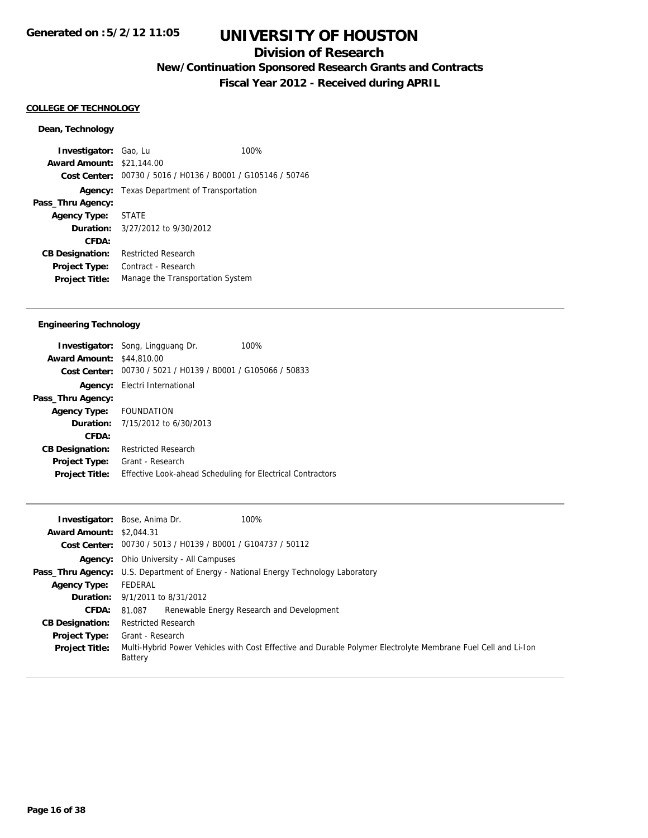# **Division of Research**

**New/Continuation Sponsored Research Grants and Contracts**

**Fiscal Year 2012 - Received during APRIL**

#### **COLLEGE OF TECHNOLOGY**

#### **Dean, Technology**

**Investigator:** Gao, Lu 100% **Award Amount:** \$21,144.00 **Cost Center:** 00730 / 5016 / H0136 / B0001 / G105146 / 50746 **Agency:** Texas Department of Transportation **Pass\_Thru Agency: Agency Type:** STATE **Duration:** 3/27/2012 to 9/30/2012 **CFDA: CB Designation:** Restricted Research **Project Type:** Contract - Research **Project Title:** Manage the Transportation System

### **Engineering Technology**

|                                  | 100%<br><b>Investigator:</b> Song, Lingguang Dr.            |
|----------------------------------|-------------------------------------------------------------|
| <b>Award Amount: \$44,810.00</b> |                                                             |
|                                  | Cost Center: 00730 / 5021 / H0139 / B0001 / G105066 / 50833 |
| Agency:                          | Electri International                                       |
| Pass_Thru Agency:                |                                                             |
| Agency Type: FOUNDATION          |                                                             |
|                                  | <b>Duration:</b> $7/15/2012$ to $6/30/2013$                 |
| CFDA:                            |                                                             |
| <b>CB Designation:</b>           | <b>Restricted Research</b>                                  |
| <b>Project Type:</b>             | Grant - Research                                            |
| <b>Project Title:</b>            | Effective Look-ahead Scheduling for Electrical Contractors  |
|                                  |                                                             |

|                                 | 100%<br><b>Investigator:</b> Bose, Anima Dr.                                                                             |  |  |
|---------------------------------|--------------------------------------------------------------------------------------------------------------------------|--|--|
| <b>Award Amount: \$2,044.31</b> |                                                                                                                          |  |  |
|                                 | Cost Center: 00730 / 5013 / H0139 / B0001 / G104737 / 50112                                                              |  |  |
|                                 | <b>Agency:</b> Ohio University - All Campuses                                                                            |  |  |
|                                 | <b>Pass_Thru Agency:</b> U.S. Department of Energy - National Energy Technology Laboratory                               |  |  |
| <b>Agency Type:</b>             | FEDERAL                                                                                                                  |  |  |
|                                 | <b>Duration:</b> 9/1/2011 to 8/31/2012                                                                                   |  |  |
| <b>CFDA:</b>                    | Renewable Energy Research and Development<br>81.087                                                                      |  |  |
| <b>CB Designation:</b>          | <b>Restricted Research</b>                                                                                               |  |  |
| Project Type:                   | Grant - Research                                                                                                         |  |  |
| <b>Project Title:</b>           | Multi-Hybrid Power Vehicles with Cost Effective and Durable Polymer Electrolyte Membrane Fuel Cell and Li-Ion<br>Battery |  |  |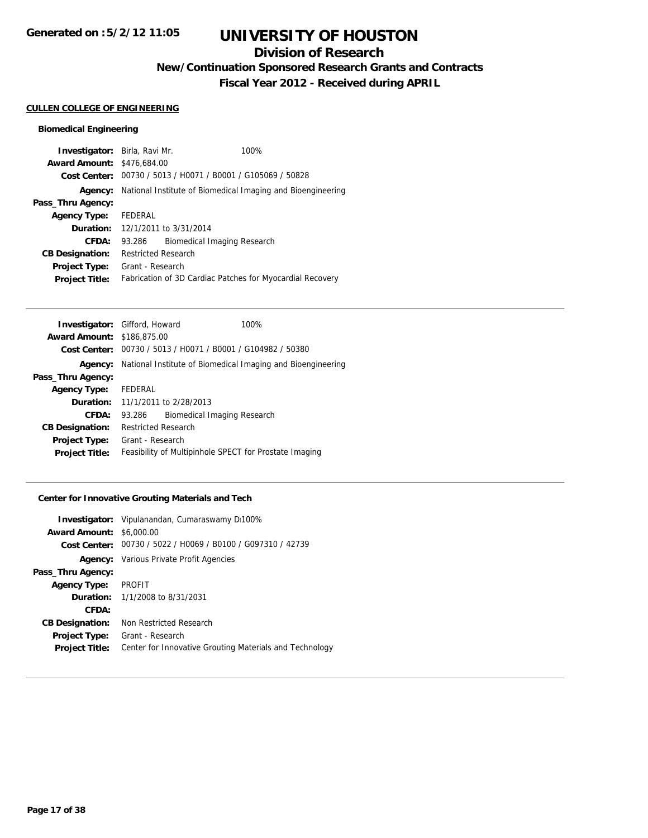# **Division of Research**

**New/Continuation Sponsored Research Grants and Contracts**

**Fiscal Year 2012 - Received during APRIL**

#### **CULLEN COLLEGE OF ENGINEERING**

## **Biomedical Engineering**

| <b>Investigator:</b> Birla, Ravi Mr. |                                                             | 100%                                                      |
|--------------------------------------|-------------------------------------------------------------|-----------------------------------------------------------|
| <b>Award Amount: \$476,684.00</b>    |                                                             |                                                           |
|                                      | Cost Center: 00730 / 5013 / H0071 / B0001 / G105069 / 50828 |                                                           |
| Agency:                              | National Institute of Biomedical Imaging and Bioengineering |                                                           |
| Pass_Thru Agency:                    |                                                             |                                                           |
| <b>Agency Type:</b>                  | FEDERAL                                                     |                                                           |
|                                      | <b>Duration:</b> 12/1/2011 to 3/31/2014                     |                                                           |
| CFDA:                                | 93.286                                                      | Biomedical Imaging Research                               |
| <b>CB Designation:</b>               | <b>Restricted Research</b>                                  |                                                           |
| <b>Project Type:</b>                 | Grant - Research                                            |                                                           |
| <b>Project Title:</b>                |                                                             | Fabrication of 3D Cardiac Patches for Myocardial Recovery |
|                                      |                                                             |                                                           |

| <b>Investigator:</b> Gifford, Howard |                                                             |                                                             | 100% |
|--------------------------------------|-------------------------------------------------------------|-------------------------------------------------------------|------|
| <b>Award Amount: \$186,875.00</b>    |                                                             |                                                             |      |
|                                      |                                                             | Cost Center: 00730 / 5013 / H0071 / B0001 / G104982 / 50380 |      |
| Agency:                              | National Institute of Biomedical Imaging and Bioengineering |                                                             |      |
| Pass_Thru Agency:                    |                                                             |                                                             |      |
| <b>Agency Type:</b>                  | FEDERAL                                                     |                                                             |      |
|                                      |                                                             | <b>Duration:</b> 11/1/2011 to 2/28/2013                     |      |
| CFDA:                                | 93.286                                                      | Biomedical Imaging Research                                 |      |
| <b>CB Designation:</b>               | <b>Restricted Research</b>                                  |                                                             |      |
| Project Type:                        | Grant - Research                                            |                                                             |      |
| <b>Project Title:</b>                | Feasibility of Multipinhole SPECT for Prostate Imaging      |                                                             |      |

## **Center for Innovative Grouting Materials and Tech**

| <b>Investigator:</b> Vipulanandan, Cumaraswamy D100%        |  |
|-------------------------------------------------------------|--|
| <b>Award Amount: \$6,000.00</b>                             |  |
| Cost Center: 00730 / 5022 / H0069 / B0100 / G097310 / 42739 |  |
| <b>Agency:</b> Various Private Profit Agencies              |  |
|                                                             |  |
| <b>Agency Type: PROFIT</b>                                  |  |
| <b>Duration:</b> $1/1/2008$ to $8/31/2031$                  |  |
|                                                             |  |
| Non Restricted Research                                     |  |
| Grant - Research                                            |  |
| Center for Innovative Grouting Materials and Technology     |  |
|                                                             |  |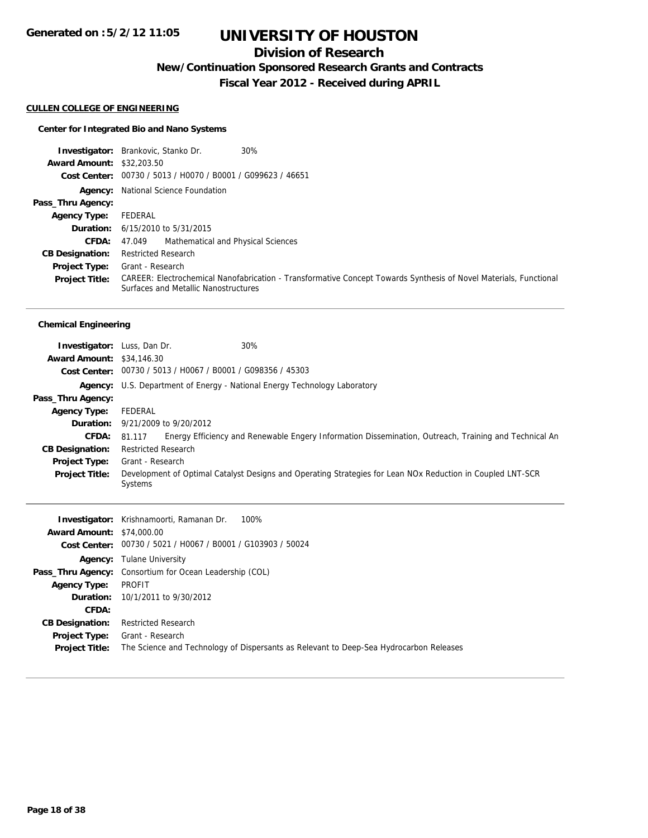# **Division of Research**

**New/Continuation Sponsored Research Grants and Contracts**

**Fiscal Year 2012 - Received during APRIL**

#### **CULLEN COLLEGE OF ENGINEERING**

## **Center for Integrated Bio and Nano Systems**

|                                  | 30%<br><b>Investigator:</b> Brankovic, Stanko Dr.                                                                                                         |
|----------------------------------|-----------------------------------------------------------------------------------------------------------------------------------------------------------|
| <b>Award Amount: \$32,203.50</b> |                                                                                                                                                           |
|                                  | Cost Center: 00730 / 5013 / H0070 / B0001 / G099623 / 46651                                                                                               |
|                                  | <b>Agency:</b> National Science Foundation                                                                                                                |
| Pass_Thru Agency:                |                                                                                                                                                           |
| <b>Agency Type:</b>              | FEDERAL                                                                                                                                                   |
|                                  | <b>Duration:</b> 6/15/2010 to 5/31/2015                                                                                                                   |
| CFDA:                            | 47.049 Mathematical and Physical Sciences                                                                                                                 |
| <b>CB Designation:</b>           | <b>Restricted Research</b>                                                                                                                                |
| <b>Project Type:</b>             | Grant - Research                                                                                                                                          |
| <b>Project Title:</b>            | CAREER: Electrochemical Nanofabrication - Transformative Concept Towards Synthesis of Novel Materials, Functional<br>Surfaces and Metallic Nanostructures |

## **Chemical Engineering**

| <b>Investigator:</b> Luss, Dan Dr. |                                                                   | 30%                                                                                                          |  |
|------------------------------------|-------------------------------------------------------------------|--------------------------------------------------------------------------------------------------------------|--|
| <b>Award Amount: \$34,146.30</b>   |                                                                   |                                                                                                              |  |
|                                    | Cost Center: 00730 / 5013 / H0067 / B0001 / G098356 / 45303       |                                                                                                              |  |
| Agency:                            | U.S. Department of Energy - National Energy Technology Laboratory |                                                                                                              |  |
| Pass_Thru Agency:                  |                                                                   |                                                                                                              |  |
| <b>Agency Type:</b>                | FEDERAL                                                           |                                                                                                              |  |
|                                    | <b>Duration:</b> $9/21/2009$ to $9/20/2012$                       |                                                                                                              |  |
| <b>CFDA:</b>                       |                                                                   | 81.117 Energy Efficiency and Renewable Engery Information Dissemination, Outreach, Training and Technical An |  |
| <b>CB Designation:</b>             | <b>Restricted Research</b>                                        |                                                                                                              |  |
| <b>Project Type:</b>               | Grant - Research                                                  |                                                                                                              |  |
| <b>Project Title:</b>              | Systems                                                           | Development of Optimal Catalyst Designs and Operating Strategies for Lean NOx Reduction in Coupled LNT-SCR   |  |

|                                  | 100%<br><b>Investigator:</b> Krishnamoorti, Ramanan Dr.                                |
|----------------------------------|----------------------------------------------------------------------------------------|
| <b>Award Amount: \$74,000.00</b> |                                                                                        |
|                                  | Cost Center: 00730 / 5021 / H0067 / B0001 / G103903 / 50024                            |
|                                  | <b>Agency:</b> Tulane University                                                       |
|                                  | <b>Pass_Thru Agency:</b> Consortium for Ocean Leadership (COL)                         |
| <b>Agency Type:</b>              | PROFIT                                                                                 |
|                                  | <b>Duration:</b> $10/1/2011$ to $9/30/2012$                                            |
| CFDA:                            |                                                                                        |
| <b>CB Designation:</b>           | <b>Restricted Research</b>                                                             |
| <b>Project Type:</b>             | Grant - Research                                                                       |
| <b>Project Title:</b>            | The Science and Technology of Dispersants as Relevant to Deep-Sea Hydrocarbon Releases |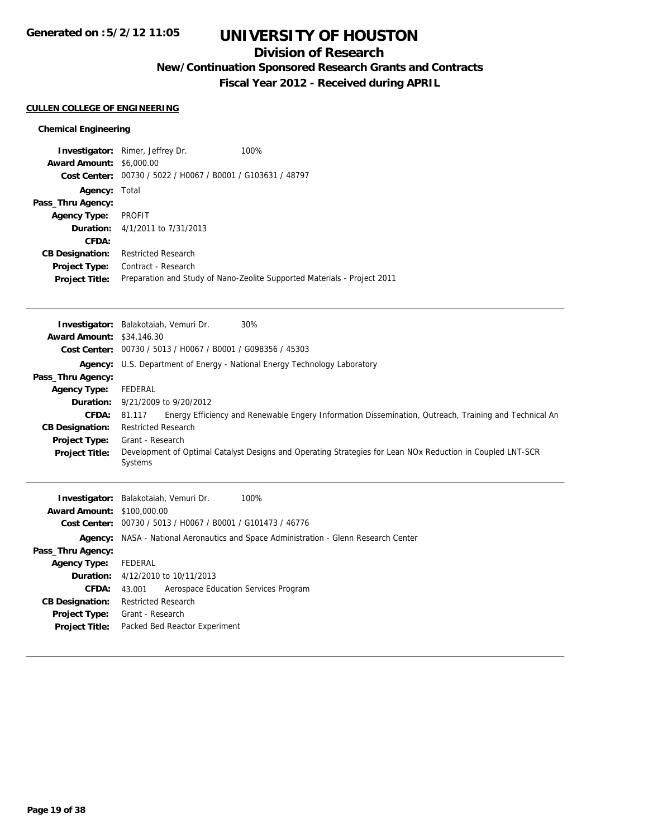# **Division of Research**

**New/Continuation Sponsored Research Grants and Contracts**

**Fiscal Year 2012 - Received during APRIL**

### **CULLEN COLLEGE OF ENGINEERING**

## **Chemical Engineering**

| <b>Award Amount:</b><br>Cost Center: | <b>Investigator:</b> Rimer, Jeffrey Dr.<br>\$6,000.00<br>00730 / 5022 / H0067 / B0001 / G103631 / 48797 | 100%                                                                     |
|--------------------------------------|---------------------------------------------------------------------------------------------------------|--------------------------------------------------------------------------|
| Agency:                              | Total                                                                                                   |                                                                          |
| Pass_Thru Agency:                    |                                                                                                         |                                                                          |
| <b>Agency Type:</b>                  | <b>PROFIT</b>                                                                                           |                                                                          |
|                                      | <b>Duration:</b> 4/1/2011 to 7/31/2013                                                                  |                                                                          |
| CFDA:                                |                                                                                                         |                                                                          |
| <b>CB Designation:</b>               | <b>Restricted Research</b>                                                                              |                                                                          |
| <b>Project Type:</b>                 | Contract - Research                                                                                     |                                                                          |
| <b>Project Title:</b>                |                                                                                                         | Preparation and Study of Nano-Zeolite Supported Materials - Project 2011 |

| <b>Award Amount: \$34,146.30</b>  | 30%<br><b>Investigator:</b> Balakotaiah, Vemuri Dr.                                                             |
|-----------------------------------|-----------------------------------------------------------------------------------------------------------------|
|                                   | Cost Center: 00730 / 5013 / H0067 / B0001 / G098356 / 45303                                                     |
|                                   | <b>Agency:</b> U.S. Department of Energy - National Energy Technology Laboratory                                |
| Pass_Thru Agency:                 |                                                                                                                 |
| <b>Agency Type:</b>               | FEDERAL                                                                                                         |
| Duration:                         | 9/21/2009 to 9/20/2012                                                                                          |
| <b>CFDA:</b>                      | Energy Efficiency and Renewable Engery Information Dissemination, Outreach, Training and Technical An<br>81.117 |
| <b>CB Designation:</b>            | <b>Restricted Research</b>                                                                                      |
| <b>Project Type:</b>              | Grant - Research                                                                                                |
| <b>Project Title:</b>             | Development of Optimal Catalyst Designs and Operating Strategies for Lean NOx Reduction in Coupled LNT-SCR      |
|                                   | Systems                                                                                                         |
|                                   |                                                                                                                 |
|                                   | Investigator: Balakotaiah, Vemuri Dr.<br>100%                                                                   |
| <b>Award Amount: \$100,000.00</b> |                                                                                                                 |
|                                   | Cost Center: 00730 / 5013 / H0067 / B0001 / G101473 / 46776                                                     |
| Agency:                           | NASA - National Aeronautics and Space Administration - Glenn Research Center                                    |
| Pass_Thru Agency:                 |                                                                                                                 |
| <b>Agency Type:</b>               | <b>FEDERAL</b>                                                                                                  |
| Duration:                         | 4/12/2010 to 10/11/2013                                                                                         |
| <b>CFDA:</b>                      | Aerospace Education Services Program<br>43.001                                                                  |
| <b>CB Designation:</b>            | <b>Restricted Research</b>                                                                                      |
| <b>Project Type:</b>              | Grant - Research                                                                                                |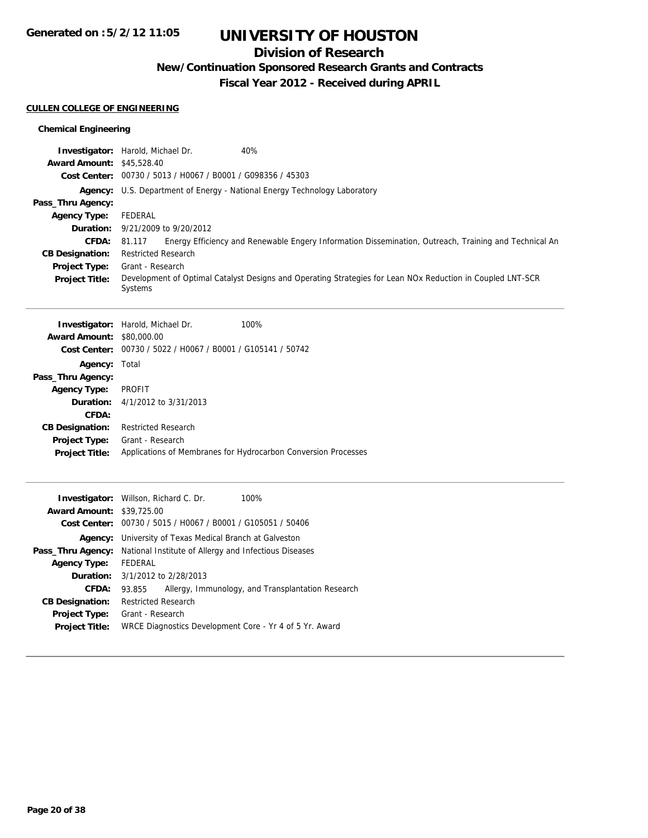# **Division of Research**

**New/Continuation Sponsored Research Grants and Contracts**

**Fiscal Year 2012 - Received during APRIL**

#### **CULLEN COLLEGE OF ENGINEERING**

## **Chemical Engineering**

| <b>Award Amount:</b><br>Pass_Thru Agency:<br><b>Agency Type:</b><br>Duration:<br><b>CFDA:</b><br><b>CB Designation:</b><br>Project Type:<br><b>Project Title:</b>           | Investigator: Harold, Michael Dr.<br>40%<br>\$45,528.40<br>Cost Center: 00730 / 5013 / H0067 / B0001 / G098356 / 45303<br><b>Agency:</b> U.S. Department of Energy - National Energy Technology Laboratory<br>FEDERAL<br>9/21/2009 to 9/20/2012<br>81.117<br>Energy Efficiency and Renewable Engery Information Dissemination, Outreach, Training and Technical An<br><b>Restricted Research</b><br>Grant - Research<br>Development of Optimal Catalyst Designs and Operating Strategies for Lean NOx Reduction in Coupled LNT-SCR<br>Systems |
|-----------------------------------------------------------------------------------------------------------------------------------------------------------------------------|-----------------------------------------------------------------------------------------------------------------------------------------------------------------------------------------------------------------------------------------------------------------------------------------------------------------------------------------------------------------------------------------------------------------------------------------------------------------------------------------------------------------------------------------------|
| <b>Award Amount:</b><br>Agency: Total<br>Pass_Thru Agency:<br><b>Agency Type:</b><br>Duration:<br>CFDA:<br><b>CB Designation:</b><br>Project Type:<br><b>Project Title:</b> | 100%<br>Investigator: Harold, Michael Dr.<br>\$80,000.00<br>Cost Center: 00730 / 5022 / H0067 / B0001 / G105141 / 50742<br><b>PROFIT</b><br>4/1/2012 to 3/31/2013<br><b>Restricted Research</b><br>Grant - Research<br>Applications of Membranes for Hydrocarbon Conversion Processes                                                                                                                                                                                                                                                         |
| <b>Award Amount:</b><br><b>Agency Type:</b><br>Duration:<br><b>CFDA:</b><br><b>CB Designation:</b>                                                                          | 100%<br>Investigator: Willson, Richard C. Dr.<br>\$39,725.00<br>Cost Center: 00730 / 5015 / H0067 / B0001 / G105051 / 50406<br><b>Agency:</b> University of Texas Medical Branch at Galveston<br>Pass_Thru Agency: National Institute of Allergy and Infectious Diseases<br><b>FEDERAL</b><br>3/1/2012 to 2/28/2013<br>93.855<br>Allergy, Immunology, and Transplantation Research<br><b>Restricted Research</b>                                                                                                                              |

**Project Type:** Grant - Research

| <b>Project Title:</b> | WRCE Diagnostics Development Core - Yr 4 of 5 Yr. Award |
|-----------------------|---------------------------------------------------------|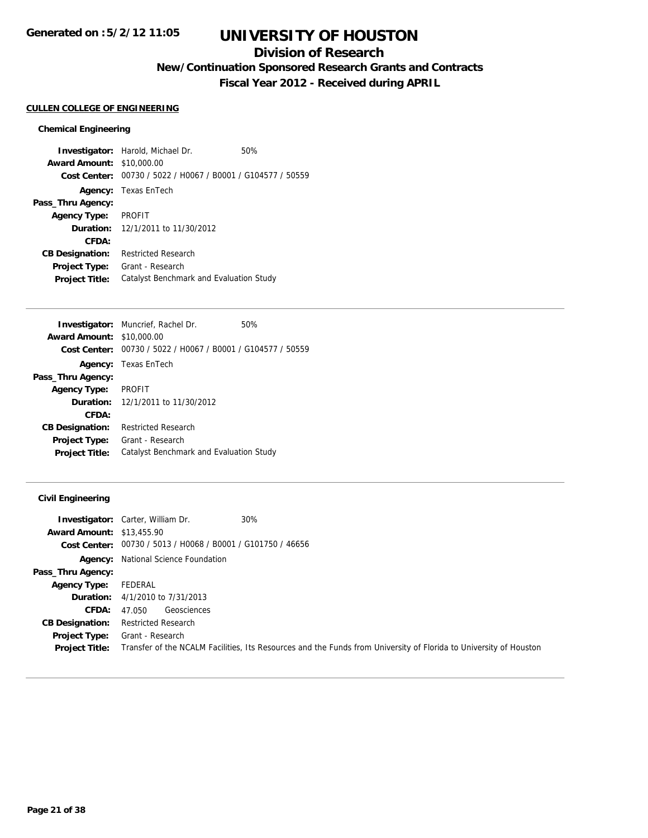# **Division of Research**

**New/Continuation Sponsored Research Grants and Contracts**

**Fiscal Year 2012 - Received during APRIL**

## **CULLEN COLLEGE OF ENGINEERING**

#### **Chemical Engineering**

**Investigator:** Harold, Michael Dr. 50% **Award Amount:** \$10,000.00 **Cost Center:** 00730 / 5022 / H0067 / B0001 / G104577 / 50559 **Agency:** Texas EnTech **Pass\_Thru Agency: Agency Type:** PROFIT **Duration:** 12/1/2011 to 11/30/2012 **CFDA: CB Designation:** Restricted Research **Project Type:** Grant - Research **Project Title:** Catalyst Benchmark and Evaluation Study

|                        | <b>Investigator:</b> Muncrief, Rachel Dr.                   | 50% |
|------------------------|-------------------------------------------------------------|-----|
| <b>Award Amount:</b>   | \$10,000.00                                                 |     |
|                        | Cost Center: 00730 / 5022 / H0067 / B0001 / G104577 / 50559 |     |
|                        | <b>Agency:</b> Texas EnTech                                 |     |
| Pass_Thru Agency:      |                                                             |     |
| <b>Agency Type:</b>    | <b>PROFIT</b>                                               |     |
|                        | <b>Duration:</b> $12/1/2011$ to $11/30/2012$                |     |
| CFDA:                  |                                                             |     |
| <b>CB Designation:</b> | <b>Restricted Research</b>                                  |     |
| <b>Project Type:</b>   | Grant - Research                                            |     |
| <b>Project Title:</b>  | Catalyst Benchmark and Evaluation Study                     |     |
|                        |                                                             |     |

### **Civil Engineering**

|                                  | <b>Investigator:</b> Carter, William Dr.<br>$30\%$                                                                |
|----------------------------------|-------------------------------------------------------------------------------------------------------------------|
| <b>Award Amount: \$13,455.90</b> |                                                                                                                   |
|                                  | <b>Cost Center:</b> $00730 / 5013 / 40068 / 80001 / 6101750 / 46656$                                              |
|                                  | <b>Agency:</b> National Science Foundation                                                                        |
| Pass_Thru Agency:                |                                                                                                                   |
| <b>Agency Type:</b>              | FEDERAL                                                                                                           |
|                                  | <b>Duration:</b> 4/1/2010 to 7/31/2013                                                                            |
| <b>CFDA:</b>                     | Geosciences<br>47.050                                                                                             |
| <b>CB Designation:</b>           | <b>Restricted Research</b>                                                                                        |
| Project Type:                    | Grant - Research                                                                                                  |
| <b>Project Title:</b>            | Transfer of the NCALM Facilities, Its Resources and the Funds from University of Florida to University of Houston |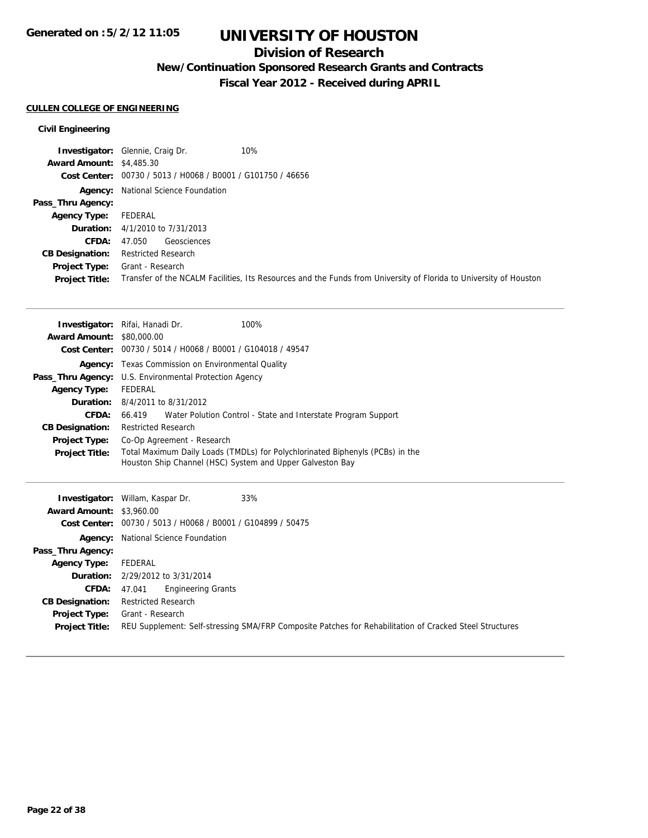# **Division of Research**

**New/Continuation Sponsored Research Grants and Contracts**

**Fiscal Year 2012 - Received during APRIL**

## **CULLEN COLLEGE OF ENGINEERING**

## **Civil Engineering**

|                                 | 10%<br><b>Investigator:</b> Glennie, Craig Dr.                                                                    |
|---------------------------------|-------------------------------------------------------------------------------------------------------------------|
| <b>Award Amount: \$4,485.30</b> |                                                                                                                   |
|                                 | Cost Center: 00730 / 5013 / H0068 / B0001 / G101750 / 46656                                                       |
|                                 | <b>Agency:</b> National Science Foundation                                                                        |
| Pass_Thru Agency:               |                                                                                                                   |
| <b>Agency Type:</b>             | FEDERAL                                                                                                           |
|                                 | <b>Duration:</b> 4/1/2010 to 7/31/2013                                                                            |
| <b>CFDA:</b>                    | Geosciences<br>47.050                                                                                             |
| <b>CB Designation:</b>          | <b>Restricted Research</b>                                                                                        |
| Project Type:                   | Grant - Research                                                                                                  |
| <b>Project Title:</b>           | Transfer of the NCALM Facilities, Its Resources and the Funds from University of Florida to University of Houston |

|                                  | Investigator: Rifai, Hanadi Dr.<br>100%                                                                                                    |  |
|----------------------------------|--------------------------------------------------------------------------------------------------------------------------------------------|--|
| <b>Award Amount: \$80,000.00</b> |                                                                                                                                            |  |
|                                  | Cost Center: 00730 / 5014 / H0068 / B0001 / G104018 / 49547                                                                                |  |
|                                  | <b>Agency:</b> Texas Commission on Environmental Quality                                                                                   |  |
|                                  | <b>Pass_Thru Agency:</b> U.S. Environmental Protection Agency                                                                              |  |
| <b>Agency Type:</b>              | FEDERAL                                                                                                                                    |  |
|                                  | <b>Duration:</b> 8/4/2011 to 8/31/2012                                                                                                     |  |
| CFDA:                            | 66.419 Water Polution Control - State and Interstate Program Support                                                                       |  |
| <b>CB Designation:</b>           | <b>Restricted Research</b>                                                                                                                 |  |
| <b>Project Type:</b>             | Co-Op Agreement - Research                                                                                                                 |  |
| <b>Project Title:</b>            | Total Maximum Daily Loads (TMDLs) for Polychlorinated Biphenyls (PCBs) in the<br>Houston Ship Channel (HSC) System and Upper Galveston Bay |  |

|                                 | 33%<br><b>Investigator:</b> Willam, Kaspar Dr.                                                          |
|---------------------------------|---------------------------------------------------------------------------------------------------------|
| <b>Award Amount: \$3,960.00</b> |                                                                                                         |
|                                 | Cost Center: 00730 / 5013 / H0068 / B0001 / G104899 / 50475                                             |
|                                 | <b>Agency:</b> National Science Foundation                                                              |
| Pass_Thru Agency:               |                                                                                                         |
| <b>Agency Type:</b>             | FEDERAL                                                                                                 |
|                                 | Duration: 2/29/2012 to 3/31/2014                                                                        |
| <b>CFDA:</b>                    | <b>Engineering Grants</b><br>47.041                                                                     |
| <b>CB Designation:</b>          | <b>Restricted Research</b>                                                                              |
| Project Type:                   | Grant - Research                                                                                        |
| <b>Project Title:</b>           | REU Supplement: Self-stressing SMA/FRP Composite Patches for Rehabilitation of Cracked Steel Structures |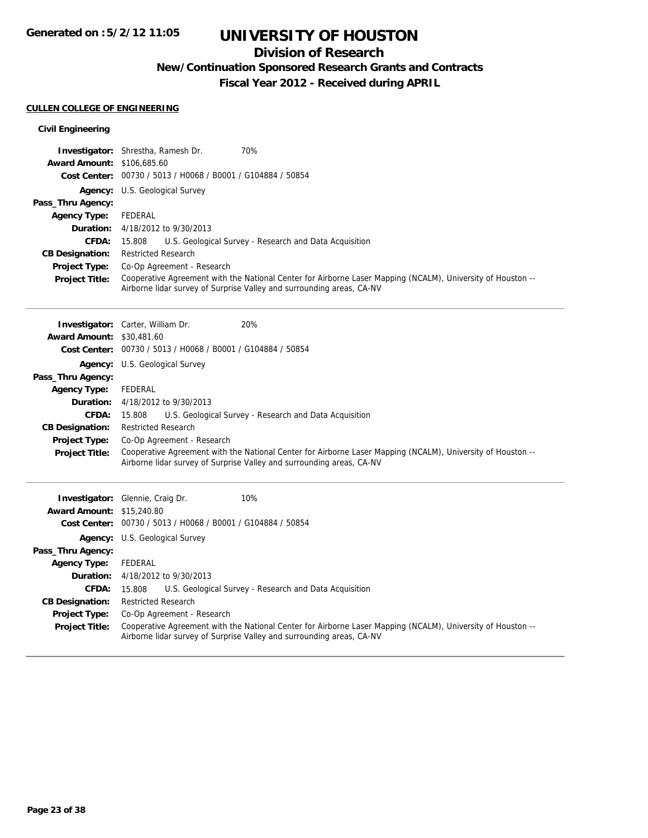# **Division of Research**

**New/Continuation Sponsored Research Grants and Contracts**

**Fiscal Year 2012 - Received during APRIL**

### **CULLEN COLLEGE OF ENGINEERING**

| <b>Civil Engineering</b>               |                                                                                                                                                                                      |
|----------------------------------------|--------------------------------------------------------------------------------------------------------------------------------------------------------------------------------------|
|                                        | 70%<br>Investigator: Shrestha, Ramesh Dr.                                                                                                                                            |
| <b>Award Amount: \$106,685.60</b>      |                                                                                                                                                                                      |
| <b>Cost Center:</b>                    | 00730 / 5013 / H0068 / B0001 / G104884 / 50854                                                                                                                                       |
|                                        | <b>Agency:</b> U.S. Geological Survey                                                                                                                                                |
| Pass_Thru Agency:                      |                                                                                                                                                                                      |
| <b>Agency Type:</b>                    | <b>FEDERAL</b>                                                                                                                                                                       |
| Duration:                              | 4/18/2012 to 9/30/2013                                                                                                                                                               |
| CFDA:                                  | 15.808<br>U.S. Geological Survey - Research and Data Acquisition                                                                                                                     |
| <b>CB Designation:</b>                 | <b>Restricted Research</b>                                                                                                                                                           |
| Project Type:                          | Co-Op Agreement - Research                                                                                                                                                           |
| <b>Project Title:</b>                  | Cooperative Agreement with the National Center for Airborne Laser Mapping (NCALM), University of Houston --<br>Airborne lidar survey of Surprise Valley and surrounding areas, CA-NV |
|                                        |                                                                                                                                                                                      |
|                                        | 20%<br>Investigator: Carter, William Dr.                                                                                                                                             |
| <b>Award Amount: \$30,481,60</b>       |                                                                                                                                                                                      |
|                                        | Cost Center: 00730 / 5013 / H0068 / B0001 / G104884 / 50854                                                                                                                          |
|                                        |                                                                                                                                                                                      |
|                                        | <b>Agency:</b> U.S. Geological Survey                                                                                                                                                |
| Pass_Thru Agency:                      | FEDERAL                                                                                                                                                                              |
| <b>Agency Type:</b><br>Duration:       | 4/18/2012 to 9/30/2013                                                                                                                                                               |
| <b>CFDA:</b>                           |                                                                                                                                                                                      |
|                                        | U.S. Geological Survey - Research and Data Acquisition<br>15.808<br><b>Restricted Research</b>                                                                                       |
| <b>CB Designation:</b>                 |                                                                                                                                                                                      |
| Project Type:<br><b>Project Title:</b> | Co-Op Agreement - Research<br>Cooperative Agreement with the National Center for Airborne Laser Mapping (NCALM), University of Houston --                                            |
|                                        | Airborne lidar survey of Surprise Valley and surrounding areas, CA-NV                                                                                                                |
|                                        |                                                                                                                                                                                      |
|                                        |                                                                                                                                                                                      |
|                                        | 10%<br>Investigator: Glennie, Craig Dr.                                                                                                                                              |
| <b>Award Amount:</b>                   | \$15,240.80                                                                                                                                                                          |
|                                        | Cost Center: 00730 / 5013 / H0068 / B0001 / G104884 / 50854                                                                                                                          |
|                                        | <b>Agency:</b> U.S. Geological Survey                                                                                                                                                |
| Pass_Thru Agency:                      |                                                                                                                                                                                      |
| <b>Agency Type:</b>                    | <b>FEDERAL</b>                                                                                                                                                                       |
| Duration:                              | 4/18/2012 to 9/30/2013                                                                                                                                                               |
| CFDA:                                  | 15.808<br>U.S. Geological Survey - Research and Data Acquisition                                                                                                                     |
| <b>CB Designation:</b>                 | <b>Restricted Research</b>                                                                                                                                                           |
| Project Type:                          | Co-Op Agreement - Research                                                                                                                                                           |
| <b>Project Title:</b>                  | Cooperative Agreement with the National Center for Airborne Laser Mapping (NCALM), University of Houston --<br>Airborne lidar survey of Surprise Valley and surrounding areas, CA-NV |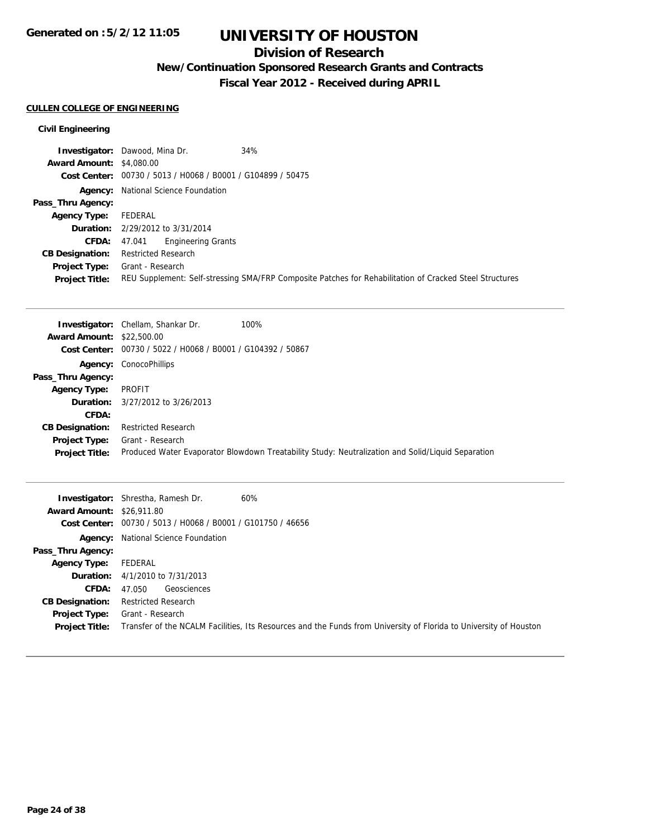# **Division of Research**

**New/Continuation Sponsored Research Grants and Contracts**

**Fiscal Year 2012 - Received during APRIL**

## **CULLEN COLLEGE OF ENGINEERING**

## **Civil Engineering**

|                                 | <b>Investigator:</b> Dawood, Mina Dr.<br>34%                                                            |
|---------------------------------|---------------------------------------------------------------------------------------------------------|
| <b>Award Amount: \$4,080.00</b> |                                                                                                         |
|                                 | Cost Center: 00730 / 5013 / H0068 / B0001 / G104899 / 50475                                             |
|                                 | <b>Agency:</b> National Science Foundation                                                              |
| Pass_Thru Agency:               |                                                                                                         |
| <b>Agency Type:</b>             | FEDERAL                                                                                                 |
|                                 | <b>Duration:</b> 2/29/2012 to 3/31/2014                                                                 |
| <b>CFDA:</b>                    | 47.041 Engineering Grants                                                                               |
| <b>CB Designation:</b>          | <b>Restricted Research</b>                                                                              |
| Project Type:                   | Grant - Research                                                                                        |
| <b>Project Title:</b>           | REU Supplement: Self-stressing SMA/FRP Composite Patches for Rehabilitation of Cracked Steel Structures |

|                            | 100%                                                                                                                                                                                                                         |
|----------------------------|------------------------------------------------------------------------------------------------------------------------------------------------------------------------------------------------------------------------------|
|                            |                                                                                                                                                                                                                              |
|                            |                                                                                                                                                                                                                              |
|                            |                                                                                                                                                                                                                              |
|                            |                                                                                                                                                                                                                              |
| PROFIT                     |                                                                                                                                                                                                                              |
|                            |                                                                                                                                                                                                                              |
|                            |                                                                                                                                                                                                                              |
| <b>Restricted Research</b> |                                                                                                                                                                                                                              |
| Grant - Research           |                                                                                                                                                                                                                              |
|                            | Produced Water Evaporator Blowdown Treatability Study: Neutralization and Solid/Liquid Separation                                                                                                                            |
|                            | <b>Investigator:</b> Chellam, Shankar Dr.<br><b>Award Amount: \$22,500.00</b><br>Cost Center: 00730 / 5022 / H0068 / B0001 / G104392 / 50867<br><b>Agency: ConocoPhillips</b><br><b>Duration:</b> $3/27/2012$ to $3/26/2013$ |

| <b>Award Amount: \$26,911.80</b> | 60%<br><b>Investigator:</b> Shrestha, Ramesh Dr.<br>Cost Center: 00730 / 5013 / H0068 / B0001 / G101750 / 46656   |
|----------------------------------|-------------------------------------------------------------------------------------------------------------------|
|                                  |                                                                                                                   |
|                                  | <b>Agency:</b> National Science Foundation                                                                        |
| Pass_Thru Agency:                |                                                                                                                   |
| <b>Agency Type:</b>              | FEDERAL                                                                                                           |
|                                  | <b>Duration:</b> $4/1/2010$ to $7/31/2013$                                                                        |
| <b>CFDA:</b>                     | Geosciences<br>47.050                                                                                             |
| <b>CB Designation:</b>           | Restricted Research                                                                                               |
| <b>Project Type:</b>             | Grant - Research                                                                                                  |
| <b>Project Title:</b>            | Transfer of the NCALM Facilities, Its Resources and the Funds from University of Florida to University of Houston |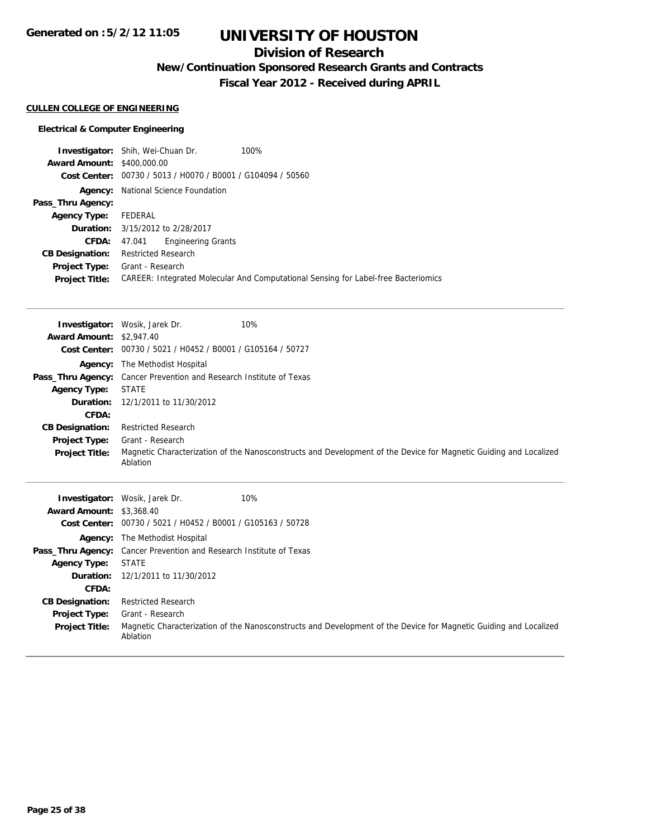# **Division of Research**

**New/Continuation Sponsored Research Grants and Contracts**

**Fiscal Year 2012 - Received during APRIL**

#### **CULLEN COLLEGE OF ENGINEERING**

#### **Electrical & Computer Engineering**

|         |                                   | 100%                                                                                                                                                                                                                                                                            |
|---------|-----------------------------------|---------------------------------------------------------------------------------------------------------------------------------------------------------------------------------------------------------------------------------------------------------------------------------|
|         |                                   |                                                                                                                                                                                                                                                                                 |
|         |                                   |                                                                                                                                                                                                                                                                                 |
|         |                                   |                                                                                                                                                                                                                                                                                 |
|         |                                   |                                                                                                                                                                                                                                                                                 |
| FEDERAL |                                   |                                                                                                                                                                                                                                                                                 |
|         |                                   |                                                                                                                                                                                                                                                                                 |
| 47.041  |                                   |                                                                                                                                                                                                                                                                                 |
|         |                                   |                                                                                                                                                                                                                                                                                 |
|         |                                   |                                                                                                                                                                                                                                                                                 |
|         |                                   | CAREER: Integrated Molecular And Computational Sensing for Label-free Bacteriomics                                                                                                                                                                                              |
|         | <b>Award Amount: \$400,000.00</b> | <b>Investigator:</b> Shih, Wei-Chuan Dr.<br>Cost Center: 00730 / 5013 / H0070 / B0001 / G104094 / 50560<br><b>Agency:</b> National Science Foundation<br><b>Duration:</b> 3/15/2012 to 2/28/2017<br><b>Engineering Grants</b><br><b>Restricted Research</b><br>Grant - Research |

Pass\_Thru Agency: Cancer Prevention and Research Institute of Texas

**Duration:** 12/1/2011 to 11/30/2012

Grant - Research

Ablation

**Agency Type:** STATE

**CFDA:**

**Project Type:**

**CB Designation:** Restricted Research

|                                 | 10%<br><b>Investigator:</b> Wosik, Jarek Dr.                                                                                  |
|---------------------------------|-------------------------------------------------------------------------------------------------------------------------------|
| <b>Award Amount: \$2,947.40</b> |                                                                                                                               |
|                                 | Cost Center: 00730 / 5021 / H0452 / B0001 / G105164 / 50727                                                                   |
|                                 | <b>Agency:</b> The Methodist Hospital                                                                                         |
|                                 | <b>Pass_Thru Agency:</b> Cancer Prevention and Research Institute of Texas                                                    |
| <b>Agency Type:</b>             | <b>STATE</b>                                                                                                                  |
| Duration:                       | 12/1/2011 to 11/30/2012                                                                                                       |
| CFDA:                           |                                                                                                                               |
| <b>CB Designation:</b>          | <b>Restricted Research</b>                                                                                                    |
| Project Type:                   | Grant - Research                                                                                                              |
| <b>Project Title:</b>           | Magnetic Characterization of the Nanosconstructs and Development of the Device for Magnetic Guiding and Localized<br>Ablation |
|                                 | 10%<br><b>Investigator:</b> Wosik, Jarek Dr.                                                                                  |
| <b>Award Amount: \$3,368.40</b> |                                                                                                                               |
| <b>Cost Center:</b>             | 00730 / 5021 / H0452 / B0001 / G105163 / 50728                                                                                |
|                                 | <b>Agency:</b> The Methodist Hospital                                                                                         |

**Project Title:** Magnetic Characterization of the Nanosconstructs and Development of the Device for Magnetic Guiding and Localized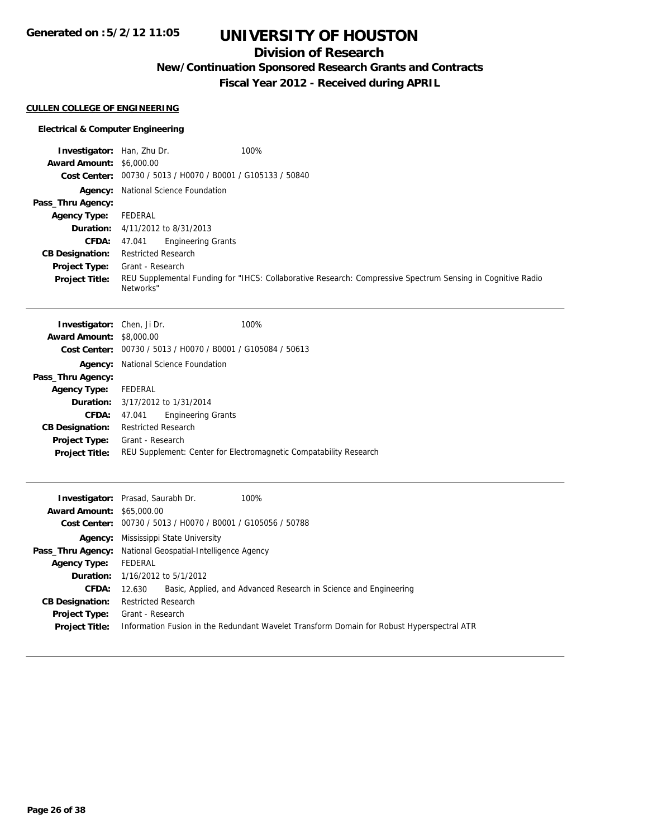**Generated on :5/2/12 11:05**

# **UNIVERSITY OF HOUSTON**

# **Division of Research**

**New/Continuation Sponsored Research Grants and Contracts**

**Fiscal Year 2012 - Received during APRIL**

## **CULLEN COLLEGE OF ENGINEERING**

## **Electrical & Computer Engineering**

| <b>Investigator:</b> Han, Zhu Dr. | 100%                                                                                                                     |
|-----------------------------------|--------------------------------------------------------------------------------------------------------------------------|
| <b>Award Amount: \$6,000.00</b>   |                                                                                                                          |
|                                   | Cost Center: 00730 / 5013 / H0070 / B0001 / G105133 / 50840                                                              |
|                                   | <b>Agency:</b> National Science Foundation                                                                               |
| Pass_Thru Agency:                 |                                                                                                                          |
| <b>Agency Type:</b>               | FEDERAL                                                                                                                  |
|                                   | <b>Duration:</b> $4/11/2012$ to $8/31/2013$                                                                              |
| <b>CFDA:</b>                      | <b>Engineering Grants</b><br>47.041                                                                                      |
| <b>CB Designation:</b>            | Restricted Research                                                                                                      |
| <b>Project Type:</b>              | Grant - Research                                                                                                         |
| <b>Project Title:</b>             | REU Supplemental Funding for "IHCS: Collaborative Research: Compressive Spectrum Sensing in Cognitive Radio<br>Networks" |

| <b>Investigator:</b> Chen, Ji Dr. |                                         |                                                             | 100%                                                              |
|-----------------------------------|-----------------------------------------|-------------------------------------------------------------|-------------------------------------------------------------------|
| <b>Award Amount: \$8,000.00</b>   |                                         |                                                             |                                                                   |
|                                   |                                         | Cost Center: 00730 / 5013 / H0070 / B0001 / G105084 / 50613 |                                                                   |
| Agency:                           |                                         | National Science Foundation                                 |                                                                   |
| Pass_Thru Agency:                 |                                         |                                                             |                                                                   |
| <b>Agency Type:</b>               | FEDERAL                                 |                                                             |                                                                   |
|                                   | <b>Duration:</b> 3/17/2012 to 1/31/2014 |                                                             |                                                                   |
| CFDA:                             | 47.041                                  | <b>Engineering Grants</b>                                   |                                                                   |
| <b>CB Designation:</b>            | <b>Restricted Research</b>              |                                                             |                                                                   |
| <b>Project Type:</b>              | Grant - Research                        |                                                             |                                                                   |
| <b>Project Title:</b>             |                                         |                                                             | REU Supplement: Center for Electromagnetic Compatability Research |
|                                   |                                         |                                                             |                                                                   |

|                                  | 100%<br><b>Investigator:</b> Prasad, Saurabh Dr.                                          |
|----------------------------------|-------------------------------------------------------------------------------------------|
| <b>Award Amount: \$65,000.00</b> |                                                                                           |
|                                  | Cost Center: 00730 / 5013 / H0070 / B0001 / G105056 / 50788                               |
|                                  | <b>Agency:</b> Mississippi State University                                               |
|                                  | Pass_Thru Agency: National Geospatial-Intelligence Agency                                 |
| <b>Agency Type:</b>              | FEDERAL                                                                                   |
|                                  | <b>Duration:</b> $1/16/2012$ to $5/1/2012$                                                |
| <b>CFDA:</b>                     | Basic, Applied, and Advanced Research in Science and Engineering<br>12.630                |
| <b>CB Designation:</b>           | <b>Restricted Research</b>                                                                |
| Project Type:                    | Grant - Research                                                                          |
| <b>Project Title:</b>            | Information Fusion in the Redundant Wavelet Transform Domain for Robust Hyperspectral ATR |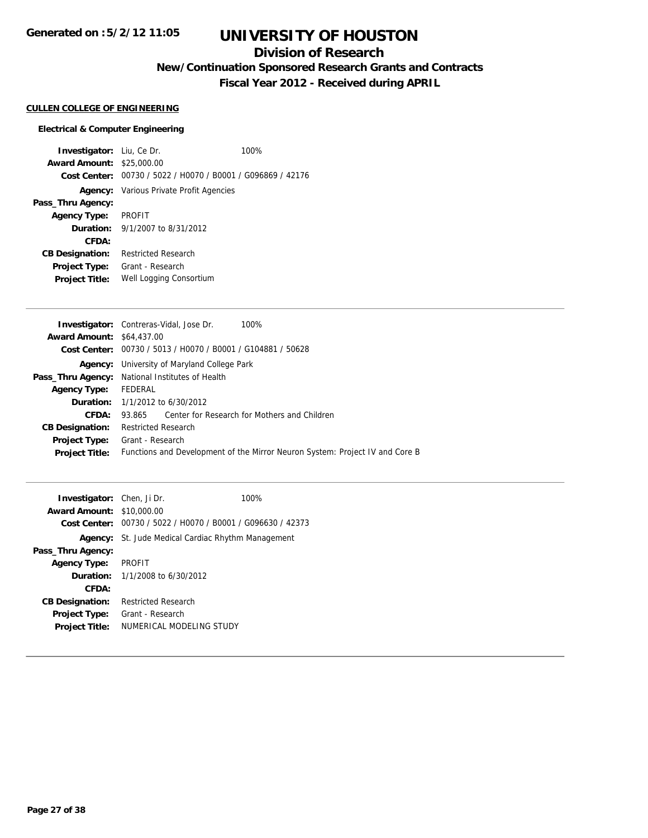# **Division of Research**

**New/Continuation Sponsored Research Grants and Contracts**

**Fiscal Year 2012 - Received during APRIL**

#### **CULLEN COLLEGE OF ENGINEERING**

#### **Electrical & Computer Engineering**

**Investigator:** Liu, Ce Dr. 100% **Award Amount:** \$25,000.00 **Cost Center:** 00730 / 5022 / H0070 / B0001 / G096869 / 42176 **Agency:** Various Private Profit Agencies **Pass\_Thru Agency: Agency Type:** PROFIT **Duration:** 9/1/2007 to 8/31/2012 **CFDA: CB Designation:** Restricted Research **Project Type:** Grant - Research **Project Title:** Well Logging Consortium

|                                  | <b>Investigator:</b> Contreras-Vidal, Jose Dr.<br>100%                       |
|----------------------------------|------------------------------------------------------------------------------|
| <b>Award Amount: \$64,437.00</b> |                                                                              |
|                                  | Cost Center: 00730 / 5013 / H0070 / B0001 / G104881 / 50628                  |
|                                  | <b>Agency:</b> University of Maryland College Park                           |
|                                  | <b>Pass_Thru Agency:</b> National Institutes of Health                       |
| <b>Agency Type:</b>              | FEDERAL                                                                      |
|                                  | <b>Duration:</b> $1/1/2012$ to $6/30/2012$                                   |
| <b>CFDA:</b>                     | Center for Research for Mothers and Children<br>93.865                       |
| <b>CB Designation:</b>           | <b>Restricted Research</b>                                                   |
| <b>Project Type:</b>             | Grant - Research                                                             |
| <b>Project Title:</b>            | Functions and Development of the Mirror Neuron System: Project IV and Core B |
|                                  |                                                                              |

| <b>Investigator:</b> Chen, Ji Dr. |                                                             | 100% |
|-----------------------------------|-------------------------------------------------------------|------|
| <b>Award Amount: \$10,000.00</b>  |                                                             |      |
|                                   | Cost Center: 00730 / 5022 / H0070 / B0001 / G096630 / 42373 |      |
|                                   | <b>Agency:</b> St. Jude Medical Cardiac Rhythm Management   |      |
| Pass_Thru Agency:                 |                                                             |      |
| <b>Agency Type:</b>               | <b>PROFIT</b>                                               |      |
|                                   | <b>Duration:</b> $1/1/2008$ to $6/30/2012$                  |      |
| CFDA:                             |                                                             |      |
| <b>CB Designation:</b>            | <b>Restricted Research</b>                                  |      |
| <b>Project Type:</b>              | Grant - Research                                            |      |
| <b>Project Title:</b>             | NUMERICAL MODELING STUDY                                    |      |
|                                   |                                                             |      |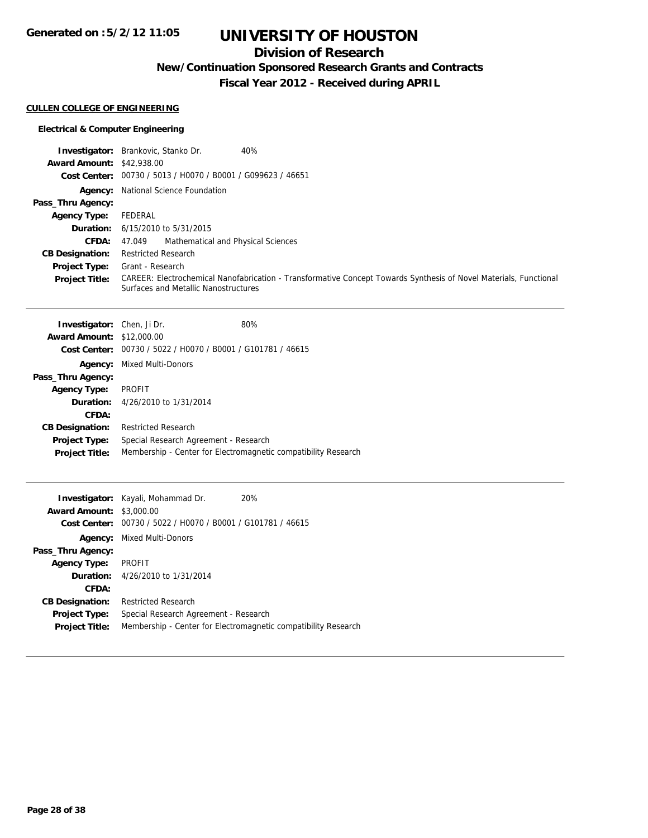# **Division of Research**

**New/Continuation Sponsored Research Grants and Contracts**

**Fiscal Year 2012 - Received during APRIL**

## **CULLEN COLLEGE OF ENGINEERING**

## **Electrical & Computer Engineering**

|                                  | <b>Investigator:</b> Brankovic, Stanko Dr.<br>40%                                                                                                         |
|----------------------------------|-----------------------------------------------------------------------------------------------------------------------------------------------------------|
| <b>Award Amount: \$42,938,00</b> |                                                                                                                                                           |
|                                  | Cost Center: 00730 / 5013 / H0070 / B0001 / G099623 / 46651                                                                                               |
|                                  | <b>Agency:</b> National Science Foundation                                                                                                                |
| Pass_Thru Agency:                |                                                                                                                                                           |
| <b>Agency Type:</b>              | FEDERAL                                                                                                                                                   |
|                                  | <b>Duration:</b> $6/15/2010$ to $5/31/2015$                                                                                                               |
| <b>CFDA:</b>                     | Mathematical and Physical Sciences<br>47.049                                                                                                              |
| <b>CB Designation:</b>           | <b>Restricted Research</b>                                                                                                                                |
| <b>Project Type:</b>             | Grant - Research                                                                                                                                          |
| <b>Project Title:</b>            | CAREER: Electrochemical Nanofabrication - Transformative Concept Towards Synthesis of Novel Materials, Functional<br>Surfaces and Metallic Nanostructures |

| Investigator: Chen, Ji Dr.       |                                                             | 80%                                                            |
|----------------------------------|-------------------------------------------------------------|----------------------------------------------------------------|
| <b>Award Amount: \$12,000.00</b> |                                                             |                                                                |
|                                  | Cost Center: 00730 / 5022 / H0070 / B0001 / G101781 / 46615 |                                                                |
| Agency:                          | <b>Mixed Multi-Donors</b>                                   |                                                                |
| Pass_Thru Agency:                |                                                             |                                                                |
| <b>Agency Type:</b>              | PROFIT                                                      |                                                                |
| Duration:                        | 4/26/2010 to 1/31/2014                                      |                                                                |
| CFDA:                            |                                                             |                                                                |
| <b>CB Designation:</b>           | <b>Restricted Research</b>                                  |                                                                |
| <b>Project Type:</b>             | Special Research Agreement - Research                       |                                                                |
| <b>Project Title:</b>            |                                                             | Membership - Center for Electromagnetic compatibility Research |
|                                  |                                                             |                                                                |

|                                 | <b>Investigator:</b> Kayali, Mohammad Dr.                   | 20%                                                            |
|---------------------------------|-------------------------------------------------------------|----------------------------------------------------------------|
| <b>Award Amount: \$3,000.00</b> |                                                             |                                                                |
|                                 | Cost Center: 00730 / 5022 / H0070 / B0001 / G101781 / 46615 |                                                                |
| Agency:                         | <b>Mixed Multi-Donors</b>                                   |                                                                |
| Pass_Thru Agency:               |                                                             |                                                                |
| <b>Agency Type:</b>             | <b>PROFIT</b>                                               |                                                                |
|                                 | <b>Duration:</b> 4/26/2010 to 1/31/2014                     |                                                                |
| CFDA:                           |                                                             |                                                                |
| <b>CB Designation:</b>          | <b>Restricted Research</b>                                  |                                                                |
| <b>Project Type:</b>            | Special Research Agreement - Research                       |                                                                |
| <b>Project Title:</b>           |                                                             | Membership - Center for Electromagnetic compatibility Research |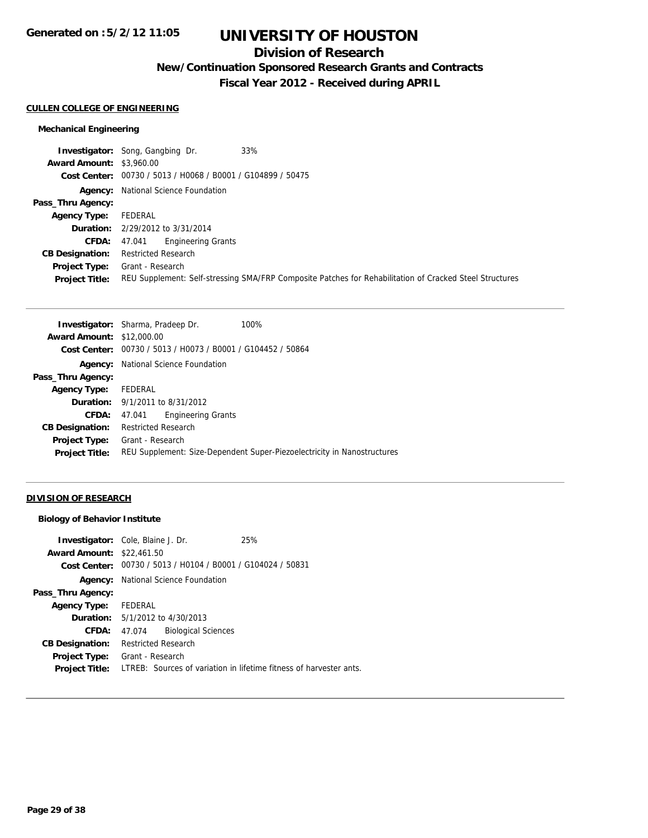# **Division of Research**

**New/Continuation Sponsored Research Grants and Contracts**

**Fiscal Year 2012 - Received during APRIL**

#### **CULLEN COLLEGE OF ENGINEERING**

## **Mechanical Engineering**

|                                 | 33%<br><b>Investigator:</b> Song, Gangbing Dr.                                                          |
|---------------------------------|---------------------------------------------------------------------------------------------------------|
| <b>Award Amount: \$3,960.00</b> |                                                                                                         |
|                                 | Cost Center: 00730 / 5013 / H0068 / B0001 / G104899 / 50475                                             |
|                                 | <b>Agency:</b> National Science Foundation                                                              |
| Pass_Thru Agency:               |                                                                                                         |
| <b>Agency Type:</b>             | FEDERAL                                                                                                 |
|                                 | <b>Duration:</b> $2/29/2012$ to $3/31/2014$                                                             |
| <b>CFDA:</b>                    | 47.041 Engineering Grants                                                                               |
| <b>CB Designation:</b>          | <b>Restricted Research</b>                                                                              |
| Project Type:                   | Grant - Research                                                                                        |
| <b>Project Title:</b>           | REU Supplement: Self-stressing SMA/FRP Composite Patches for Rehabilitation of Cracked Steel Structures |

| <b>Award Amount: \$12,000.00</b>                                                                 |  |
|--------------------------------------------------------------------------------------------------|--|
| Cost Center: 00730 / 5013 / H0073 / B0001 / G104452 / 50864                                      |  |
| National Science Foundation<br>Agency:                                                           |  |
| Pass_Thru Agency:                                                                                |  |
| FEDERAL<br><b>Agency Type:</b>                                                                   |  |
| <b>Duration:</b> 9/1/2011 to 8/31/2012                                                           |  |
| <b>Engineering Grants</b><br><b>CFDA:</b><br>47.041                                              |  |
| <b>Restricted Research</b><br><b>CB Designation:</b>                                             |  |
| Grant - Research<br><b>Project Type:</b>                                                         |  |
| REU Supplement: Size-Dependent Super-Piezoelectricity in Nanostructures<br><b>Project Title:</b> |  |

## **DIVISION OF RESEARCH**

### **Biology of Behavior Institute**

|                        | <b>Investigator:</b> Cole, Blaine J. Dr.                    | 25%                                                                |
|------------------------|-------------------------------------------------------------|--------------------------------------------------------------------|
| <b>Award Amount:</b>   | \$22,461.50                                                 |                                                                    |
|                        | Cost Center: 00730 / 5013 / H0104 / B0001 / G104024 / 50831 |                                                                    |
|                        | <b>Agency:</b> National Science Foundation                  |                                                                    |
| Pass_Thru Agency:      |                                                             |                                                                    |
| <b>Agency Type:</b>    | FEDERAL                                                     |                                                                    |
|                        | <b>Duration:</b> 5/1/2012 to 4/30/2013                      |                                                                    |
| CFDA:                  | <b>Biological Sciences</b><br>47.074                        |                                                                    |
| <b>CB Designation:</b> | <b>Restricted Research</b>                                  |                                                                    |
| <b>Project Type:</b>   | Grant - Research                                            |                                                                    |
| <b>Project Title:</b>  |                                                             | LTREB: Sources of variation in lifetime fitness of harvester ants. |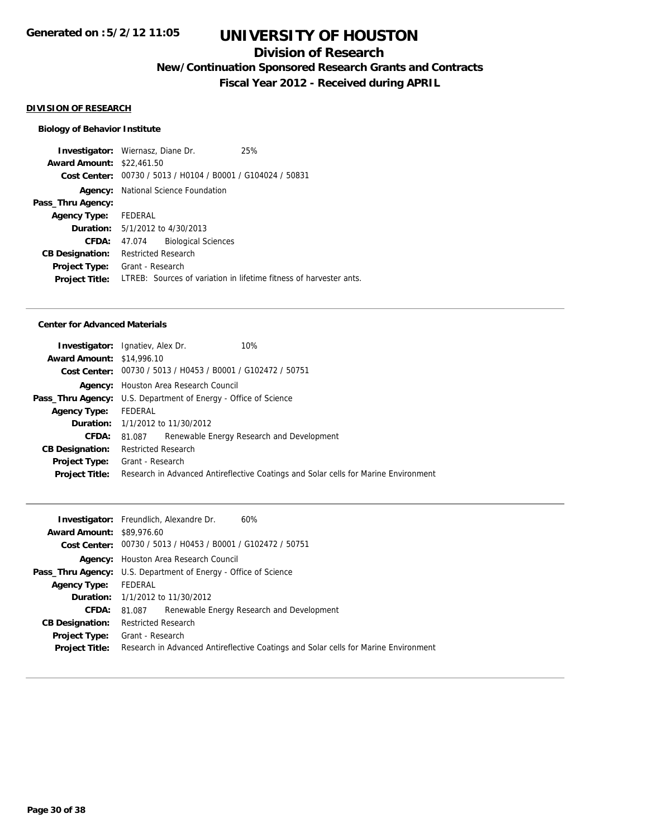# **Division of Research**

**New/Continuation Sponsored Research Grants and Contracts**

**Fiscal Year 2012 - Received during APRIL**

#### **DIVISION OF RESEARCH**

#### **Biology of Behavior Institute**

**Investigator:** Wiernasz, Diane Dr. 25% **Award Amount:** \$22,461.50 **Cost Center:** 00730 / 5013 / H0104 / B0001 / G104024 / 50831 **Agency:** National Science Foundation **Pass\_Thru Agency: Agency Type:** FEDERAL **Duration:** 5/1/2012 to 4/30/2013 **CFDA:** 47.074 Biological Sciences **CB Designation:** Restricted Research **Project Type:** Grant - Research **Project Title:** LTREB: Sources of variation in lifetime fitness of harvester ants.

#### **Center for Advanced Materials**

|                                  | <b>Investigator:</b> Ignatiev, Alex Dr.                         | 10%                                                                                 |  |  |
|----------------------------------|-----------------------------------------------------------------|-------------------------------------------------------------------------------------|--|--|
| <b>Award Amount: \$14,996.10</b> |                                                                 |                                                                                     |  |  |
|                                  |                                                                 | Cost Center: 00730 / 5013 / H0453 / B0001 / G102472 / 50751                         |  |  |
|                                  | <b>Agency:</b> Houston Area Research Council                    |                                                                                     |  |  |
|                                  | Pass_Thru Agency: U.S. Department of Energy - Office of Science |                                                                                     |  |  |
| <b>Agency Type:</b>              | FEDERAL                                                         |                                                                                     |  |  |
|                                  | <b>Duration:</b> 1/1/2012 to 11/30/2012                         |                                                                                     |  |  |
| <b>CFDA:</b>                     | 81.087                                                          | Renewable Energy Research and Development                                           |  |  |
| <b>CB Designation:</b>           | <b>Restricted Research</b>                                      |                                                                                     |  |  |
|                                  | <b>Project Type:</b> Grant - Research                           |                                                                                     |  |  |
| <b>Project Title:</b>            |                                                                 | Research in Advanced Antireflective Coatings and Solar cells for Marine Environment |  |  |
|                                  |                                                                 |                                                                                     |  |  |

| <b>Award Amount: \$89,976.60</b>                                                                             |  |  |
|--------------------------------------------------------------------------------------------------------------|--|--|
| Cost Center: 00730 / 5013 / H0453 / B0001 / G102472 / 50751                                                  |  |  |
| <b>Agency:</b> Houston Area Research Council                                                                 |  |  |
| <b>Pass_Thru Agency:</b> U.S. Department of Energy - Office of Science                                       |  |  |
| FEDERAL<br><b>Agency Type:</b>                                                                               |  |  |
| <b>Duration:</b> 1/1/2012 to 11/30/2012                                                                      |  |  |
| Renewable Energy Research and Development<br>CFDA:<br>81.087                                                 |  |  |
| <b>Restricted Research</b><br><b>CB Designation:</b>                                                         |  |  |
| <b>Project Type:</b> Grant - Research                                                                        |  |  |
| Research in Advanced Antireflective Coatings and Solar cells for Marine Environment<br><b>Project Title:</b> |  |  |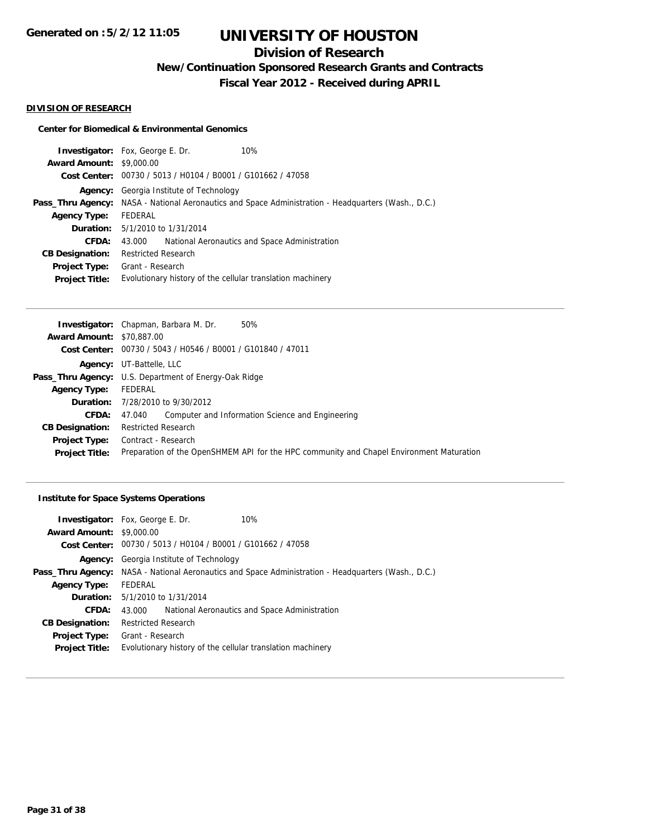# **Division of Research**

**New/Continuation Sponsored Research Grants and Contracts**

**Fiscal Year 2012 - Received during APRIL**

#### **DIVISION OF RESEARCH**

#### **Center for Biomedical & Environmental Genomics**

|                                 | <b>Investigator:</b> Fox, George E. Dr.                     | 10%                                                                               |
|---------------------------------|-------------------------------------------------------------|-----------------------------------------------------------------------------------|
| <b>Award Amount: \$9,000.00</b> |                                                             |                                                                                   |
|                                 | Cost Center: 00730 / 5013 / H0104 / B0001 / G101662 / 47058 |                                                                                   |
| Agency:                         | Georgia Institute of Technology                             |                                                                                   |
| Pass_Thru Agency:               |                                                             | NASA - National Aeronautics and Space Administration - Headquarters (Wash., D.C.) |
| <b>Agency Type:</b>             | FEDERAL                                                     |                                                                                   |
|                                 | <b>Duration:</b> 5/1/2010 to 1/31/2014                      |                                                                                   |
| <b>CFDA:</b>                    | 43.000                                                      | National Aeronautics and Space Administration                                     |
| <b>CB Designation:</b>          | <b>Restricted Research</b>                                  |                                                                                   |
| <b>Project Type:</b>            | Grant - Research                                            |                                                                                   |
| <b>Project Title:</b>           | Evolutionary history of the cellular translation machinery  |                                                                                   |
|                                 |                                                             |                                                                                   |

|                                  | <b>Investigator:</b> Chapman, Barbara M. Dr.                 | 50%                                                                                      |
|----------------------------------|--------------------------------------------------------------|------------------------------------------------------------------------------------------|
| <b>Award Amount: \$70,887,00</b> |                                                              |                                                                                          |
|                                  | Cost Center: 00730 / 5043 / H0546 / B0001 / G101840 / 47011  |                                                                                          |
|                                  | <b>Agency:</b> UT-Battelle, LLC                              |                                                                                          |
|                                  | <b>Pass_Thru Agency:</b> U.S. Department of Energy-Oak Ridge |                                                                                          |
| <b>Agency Type:</b>              | FEDERAL                                                      |                                                                                          |
|                                  | <b>Duration:</b> 7/28/2010 to 9/30/2012                      |                                                                                          |
| CFDA:                            | 47.040                                                       | Computer and Information Science and Engineering                                         |
| <b>CB Designation:</b>           | <b>Restricted Research</b>                                   |                                                                                          |
| <b>Project Type:</b>             | Contract - Research                                          |                                                                                          |
| <b>Project Title:</b>            |                                                              | Preparation of the OpenSHMEM API for the HPC community and Chapel Environment Maturation |
|                                  |                                                              |                                                                                          |

## **Institute for Space Systems Operations**

|                                 | 10%<br><b>Investigator:</b> Fox, George E. Dr.                                                             |  |  |
|---------------------------------|------------------------------------------------------------------------------------------------------------|--|--|
| <b>Award Amount: \$9,000.00</b> |                                                                                                            |  |  |
|                                 | Cost Center: 00730 / 5013 / H0104 / B0001 / G101662 / 47058                                                |  |  |
| Agency:                         | Georgia Institute of Technology                                                                            |  |  |
|                                 | <b>Pass_Thru Agency:</b> NASA - National Aeronautics and Space Administration - Headquarters (Wash., D.C.) |  |  |
| <b>Agency Type:</b>             | FEDERAL                                                                                                    |  |  |
|                                 | <b>Duration:</b> 5/1/2010 to 1/31/2014                                                                     |  |  |
| <b>CFDA:</b>                    | National Aeronautics and Space Administration<br>43.000                                                    |  |  |
| <b>CB Designation:</b>          | <b>Restricted Research</b>                                                                                 |  |  |
| <b>Project Type:</b>            | Grant - Research                                                                                           |  |  |
| <b>Project Title:</b>           | Evolutionary history of the cellular translation machinery                                                 |  |  |
|                                 |                                                                                                            |  |  |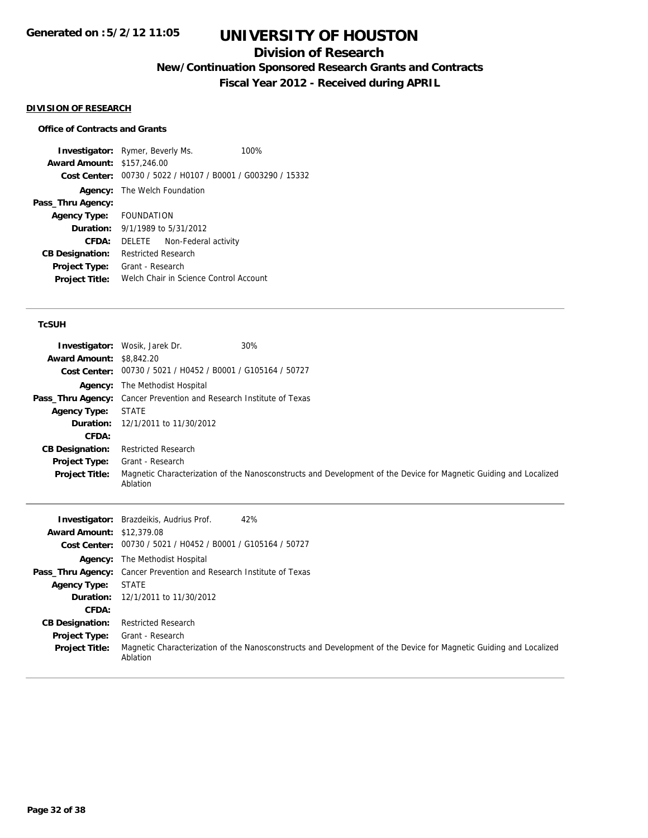# **Division of Research**

**New/Continuation Sponsored Research Grants and Contracts**

**Fiscal Year 2012 - Received during APRIL**

#### **DIVISION OF RESEARCH**

## **Office of Contracts and Grants**

**Investigator:** Rymer, Beverly Ms. 100% **Award Amount:** \$157,246.00 **Cost Center:** 00730 / 5022 / H0107 / B0001 / G003290 / 15332 **Agency:** The Welch Foundation **Pass\_Thru Agency: Agency Type:** FOUNDATION **Duration:** 9/1/1989 to 5/31/2012 **CFDA:** DELETE Non-Federal activity **CB Designation:** Restricted Research **Project Type:** Grant - Research **Project Title:** Welch Chair in Science Control Account

### **TcSUH**

|                                 | <b>Investigator:</b> Wosik, Jarek Dr.                                      | 30%                                                                                                               |
|---------------------------------|----------------------------------------------------------------------------|-------------------------------------------------------------------------------------------------------------------|
| <b>Award Amount: \$8,842.20</b> |                                                                            |                                                                                                                   |
|                                 | Cost Center: 00730 / 5021 / H0452 / B0001 / G105164 / 50727                |                                                                                                                   |
|                                 | <b>Agency:</b> The Methodist Hospital                                      |                                                                                                                   |
|                                 | <b>Pass_Thru Agency:</b> Cancer Prevention and Research Institute of Texas |                                                                                                                   |
| <b>Agency Type:</b>             | STATE                                                                      |                                                                                                                   |
|                                 | <b>Duration:</b> 12/1/2011 to 11/30/2012                                   |                                                                                                                   |
| CFDA:                           |                                                                            |                                                                                                                   |
| <b>CB Designation:</b>          | <b>Restricted Research</b>                                                 |                                                                                                                   |
| <b>Project Type:</b>            | Grant - Research                                                           |                                                                                                                   |
| <b>Project Title:</b>           | Ablation                                                                   | Magnetic Characterization of the Nanosconstructs and Development of the Device for Magnetic Guiding and Localized |

|                                  | 42%<br><b>Investigator:</b> Brazdeikis, Audrius Prof.                                                                         |
|----------------------------------|-------------------------------------------------------------------------------------------------------------------------------|
| <b>Award Amount: \$12,379.08</b> |                                                                                                                               |
|                                  | Cost Center: 00730 / 5021 / H0452 / B0001 / G105164 / 50727                                                                   |
|                                  | <b>Agency:</b> The Methodist Hospital                                                                                         |
|                                  | Pass_Thru Agency: Cancer Prevention and Research Institute of Texas                                                           |
| <b>Agency Type:</b>              | <b>STATE</b>                                                                                                                  |
|                                  | <b>Duration:</b> 12/1/2011 to 11/30/2012                                                                                      |
| CFDA:                            |                                                                                                                               |
| <b>CB Designation:</b>           | <b>Restricted Research</b>                                                                                                    |
| <b>Project Type:</b>             | Grant - Research                                                                                                              |
| <b>Project Title:</b>            | Magnetic Characterization of the Nanosconstructs and Development of the Device for Magnetic Guiding and Localized<br>Ablation |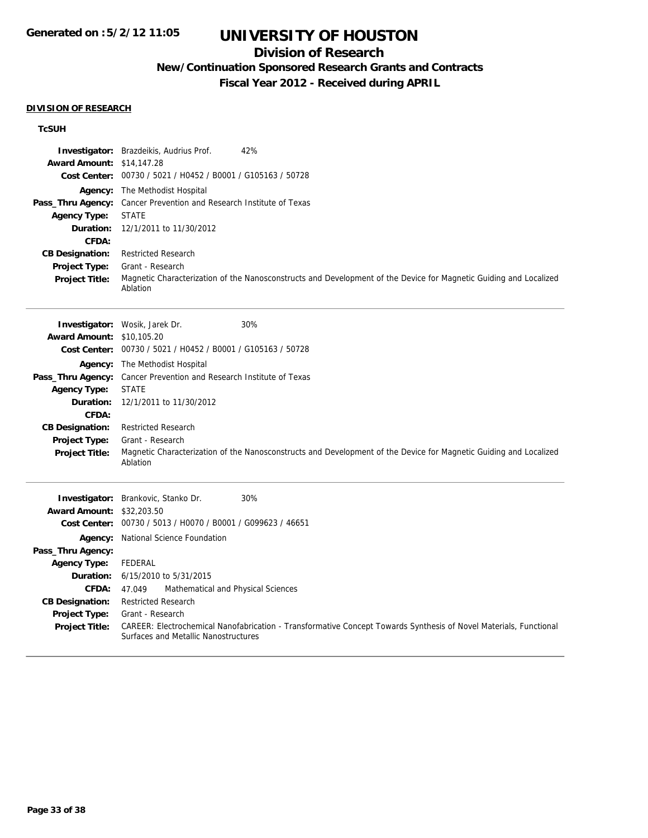# **Division of Research**

# **New/Continuation Sponsored Research Grants and Contracts**

**Fiscal Year 2012 - Received during APRIL**

#### **DIVISION OF RESEARCH**

## **TcSUH**

|                                  | <b>Investigator:</b> Brazdeikis, Audrius Prof.<br>42%                                                                                                     |
|----------------------------------|-----------------------------------------------------------------------------------------------------------------------------------------------------------|
| <b>Award Amount: \$14,147.28</b> |                                                                                                                                                           |
|                                  | Cost Center: 00730 / 5021 / H0452 / B0001 / G105163 / 50728                                                                                               |
| Agency:                          | The Methodist Hospital                                                                                                                                    |
| Pass_Thru Agency:                | Cancer Prevention and Research Institute of Texas                                                                                                         |
| <b>Agency Type:</b>              | <b>STATE</b>                                                                                                                                              |
| Duration:                        | 12/1/2011 to 11/30/2012                                                                                                                                   |
| CFDA:                            |                                                                                                                                                           |
| <b>CB Designation:</b>           | <b>Restricted Research</b>                                                                                                                                |
| Project Type:                    | Grant - Research                                                                                                                                          |
| <b>Project Title:</b>            | Magnetic Characterization of the Nanosconstructs and Development of the Device for Magnetic Guiding and Localized<br>Ablation                             |
|                                  | 30%<br>Investigator: Wosik, Jarek Dr.                                                                                                                     |
| Award Amount: \$10,105.20        |                                                                                                                                                           |
|                                  | Cost Center: 00730 / 5021 / H0452 / B0001 / G105163 / 50728                                                                                               |
|                                  | Agency: The Methodist Hospital                                                                                                                            |
|                                  | Pass_Thru Agency: Cancer Prevention and Research Institute of Texas                                                                                       |
| <b>Agency Type:</b>              | <b>STATE</b>                                                                                                                                              |
| Duration:                        | 12/1/2011 to 11/30/2012                                                                                                                                   |
| CFDA:                            |                                                                                                                                                           |
| <b>CB Designation:</b>           | <b>Restricted Research</b>                                                                                                                                |
| Project Type:                    | Grant - Research                                                                                                                                          |
| <b>Project Title:</b>            | Magnetic Characterization of the Nanosconstructs and Development of the Device for Magnetic Guiding and Localized<br>Ablation                             |
|                                  | 30%<br>Investigator: Brankovic, Stanko Dr.                                                                                                                |
| <b>Award Amount: \$32,203.50</b> |                                                                                                                                                           |
|                                  | Cost Center: 00730 / 5013 / H0070 / B0001 / G099623 / 46651                                                                                               |
|                                  | Agency: National Science Foundation                                                                                                                       |
| Pass_Thru Agency:                |                                                                                                                                                           |
| <b>Agency Type:</b>              | <b>FEDERAL</b>                                                                                                                                            |
| Duration:                        | 6/15/2010 to 5/31/2015                                                                                                                                    |
| <b>CFDA:</b>                     | 47.049<br>Mathematical and Physical Sciences                                                                                                              |
| <b>CB Designation:</b>           | <b>Restricted Research</b>                                                                                                                                |
| Project Type:                    | Grant - Research                                                                                                                                          |
| <b>Project Title:</b>            | CAREER: Electrochemical Nanofabrication - Transformative Concept Towards Synthesis of Novel Materials, Functional<br>Surfaces and Metallic Nanostructures |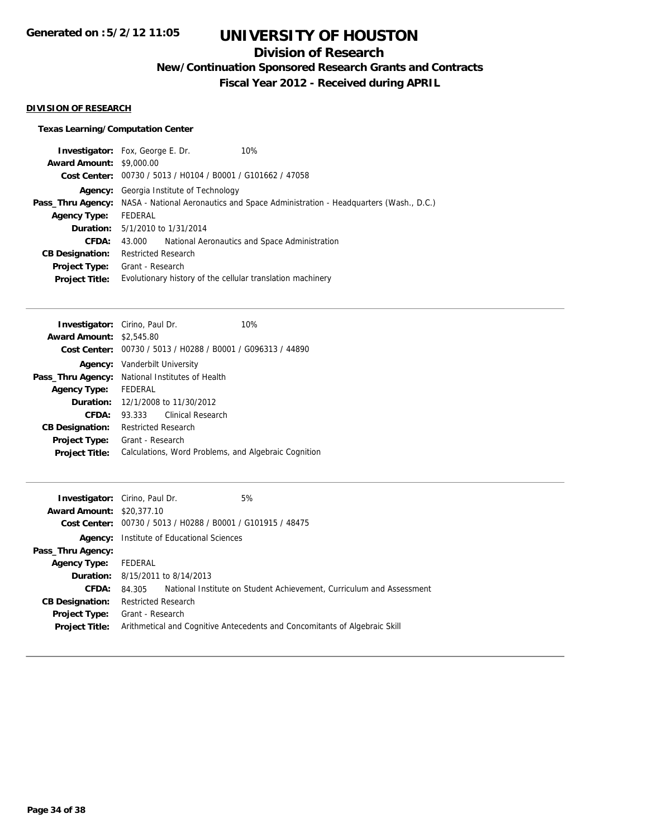# **Division of Research**

**New/Continuation Sponsored Research Grants and Contracts**

**Fiscal Year 2012 - Received during APRIL**

### **DIVISION OF RESEARCH**

## **Texas Learning/Computation Center**

|                                 | <b>Investigator:</b> Fox, George E. Dr.                     | 10%                                                                               |  |
|---------------------------------|-------------------------------------------------------------|-----------------------------------------------------------------------------------|--|
| <b>Award Amount: \$9,000.00</b> |                                                             |                                                                                   |  |
|                                 | Cost Center: 00730 / 5013 / H0104 / B0001 / G101662 / 47058 |                                                                                   |  |
| Agency:                         | Georgia Institute of Technology                             |                                                                                   |  |
| Pass_Thru Agency:               |                                                             | NASA - National Aeronautics and Space Administration - Headquarters (Wash., D.C.) |  |
| <b>Agency Type:</b>             | FEDERAL                                                     |                                                                                   |  |
|                                 | <b>Duration:</b> 5/1/2010 to 1/31/2014                      |                                                                                   |  |
| CFDA:                           | 43.000                                                      | National Aeronautics and Space Administration                                     |  |
| <b>CB Designation:</b>          | <b>Restricted Research</b>                                  |                                                                                   |  |
| Project Type:                   | Grant - Research                                            |                                                                                   |  |
| <b>Project Title:</b>           | Evolutionary history of the cellular translation machinery  |                                                                                   |  |
|                                 |                                                             |                                                                                   |  |

|                        | <b>Investigator:</b> Cirino, Paul Dr.                | 10%                                                         |
|------------------------|------------------------------------------------------|-------------------------------------------------------------|
| <b>Award Amount:</b>   | \$2,545.80                                           |                                                             |
|                        |                                                      | Cost Center: 00730 / 5013 / H0288 / B0001 / G096313 / 44890 |
|                        | <b>Agency:</b> Vanderbilt University                 |                                                             |
| Pass_Thru Agency:      | National Institutes of Health                        |                                                             |
| <b>Agency Type:</b>    | FEDERAL                                              |                                                             |
|                        | <b>Duration:</b> 12/1/2008 to 11/30/2012             |                                                             |
| CFDA:                  | Clinical Research<br>93.333                          |                                                             |
| <b>CB Designation:</b> | <b>Restricted Research</b>                           |                                                             |
| Project Type:          | Grant - Research                                     |                                                             |
| <b>Project Title:</b>  | Calculations, Word Problems, and Algebraic Cognition |                                                             |
|                        |                                                      |                                                             |

|                                  | <b>Investigator:</b> Cirino, Paul Dr.            | 5%                                                                         |
|----------------------------------|--------------------------------------------------|----------------------------------------------------------------------------|
| <b>Award Amount: \$20,377.10</b> |                                                  |                                                                            |
| Cost Center:                     | 00730 / 5013 / H0288 / B0001 / G101915 / 48475   |                                                                            |
|                                  | <b>Agency:</b> Institute of Educational Sciences |                                                                            |
| Pass_Thru Agency:                |                                                  |                                                                            |
| <b>Agency Type:</b>              | FEDERAL                                          |                                                                            |
|                                  | <b>Duration:</b> 8/15/2011 to 8/14/2013          |                                                                            |
| <b>CFDA:</b>                     | 84.305                                           | National Institute on Student Achievement, Curriculum and Assessment       |
| <b>CB Designation:</b>           | <b>Restricted Research</b>                       |                                                                            |
| Project Type:                    | Grant - Research                                 |                                                                            |
| <b>Project Title:</b>            |                                                  | Arithmetical and Cognitive Antecedents and Concomitants of Algebraic Skill |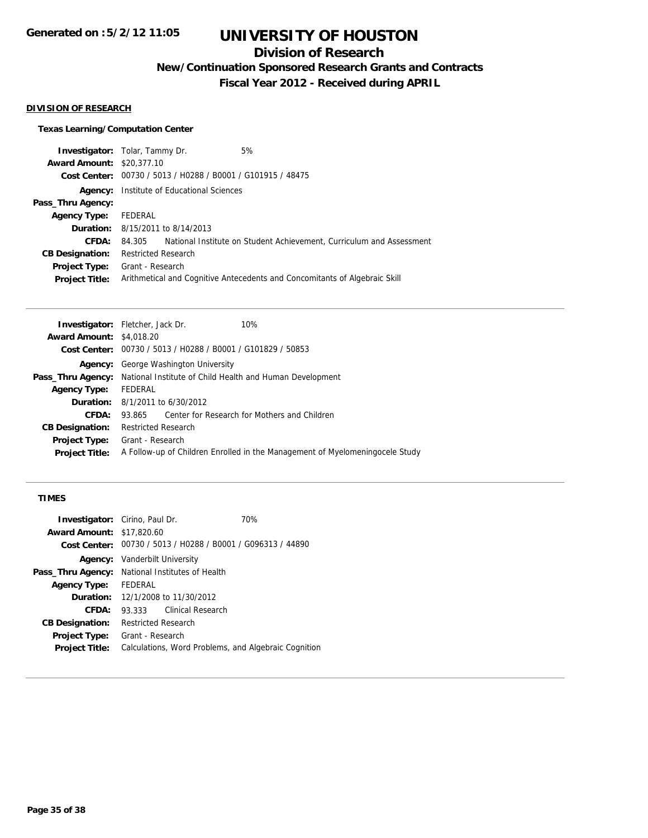# **Division of Research**

**New/Continuation Sponsored Research Grants and Contracts**

**Fiscal Year 2012 - Received during APRIL**

#### **DIVISION OF RESEARCH**

## **Texas Learning/Computation Center**

| <b>Investigator:</b> Tolar, Tammy Dr. |                            |                                                             | 5%                                                                         |
|---------------------------------------|----------------------------|-------------------------------------------------------------|----------------------------------------------------------------------------|
| <b>Award Amount: \$20,377.10</b>      |                            |                                                             |                                                                            |
|                                       |                            | Cost Center: 00730 / 5013 / H0288 / B0001 / G101915 / 48475 |                                                                            |
| Agency:                               |                            | Institute of Educational Sciences                           |                                                                            |
| Pass_Thru Agency:                     |                            |                                                             |                                                                            |
| <b>Agency Type:</b>                   | FEDERAL                    |                                                             |                                                                            |
|                                       |                            | <b>Duration:</b> 8/15/2011 to 8/14/2013                     |                                                                            |
| CFDA:                                 | 84.305                     |                                                             | National Institute on Student Achievement, Curriculum and Assessment       |
| <b>CB Designation:</b>                | <b>Restricted Research</b> |                                                             |                                                                            |
| <b>Project Type:</b>                  | Grant - Research           |                                                             |                                                                            |
| <b>Project Title:</b>                 |                            |                                                             | Arithmetical and Cognitive Antecedents and Concomitants of Algebraic Skill |
|                                       |                            |                                                             |                                                                            |

|                                 | 10%<br><b>Investigator:</b> Fletcher, Jack Dr.                                    |
|---------------------------------|-----------------------------------------------------------------------------------|
| <b>Award Amount: \$4,018.20</b> |                                                                                   |
|                                 | Cost Center: 00730 / 5013 / H0288 / B0001 / G101829 / 50853                       |
| Agency:                         | George Washington University                                                      |
|                                 | <b>Pass_Thru Agency:</b> National Institute of Child Health and Human Development |
| <b>Agency Type:</b>             | FEDERAL                                                                           |
|                                 | <b>Duration:</b> $8/1/2011$ to $6/30/2012$                                        |
| CFDA:                           | Center for Research for Mothers and Children<br>93.865                            |
| <b>CB Designation:</b>          | <b>Restricted Research</b>                                                        |
| <b>Project Type:</b>            | Grant - Research                                                                  |
| <b>Project Title:</b>           | A Follow-up of Children Enrolled in the Management of Myelomening ocele Study     |
|                                 |                                                                                   |

### **TIMES**

| <b>Investigator:</b> Cirino, Paul Dr. |                                                             |                          | 70% |
|---------------------------------------|-------------------------------------------------------------|--------------------------|-----|
| <b>Award Amount: \$17,820.60</b>      |                                                             |                          |     |
|                                       | Cost Center: 00730 / 5013 / H0288 / B0001 / G096313 / 44890 |                          |     |
|                                       | <b>Agency:</b> Vanderbilt University                        |                          |     |
| Pass_Thru Agency:                     | National Institutes of Health                               |                          |     |
| <b>Agency Type:</b>                   | <b>FEDERAL</b>                                              |                          |     |
|                                       | <b>Duration:</b> 12/1/2008 to 11/30/2012                    |                          |     |
| CFDA:                                 | 93.333                                                      | <b>Clinical Research</b> |     |
| <b>CB Designation:</b>                | <b>Restricted Research</b>                                  |                          |     |
| Project Type:                         | Grant - Research                                            |                          |     |
| <b>Project Title:</b>                 | Calculations, Word Problems, and Algebraic Cognition        |                          |     |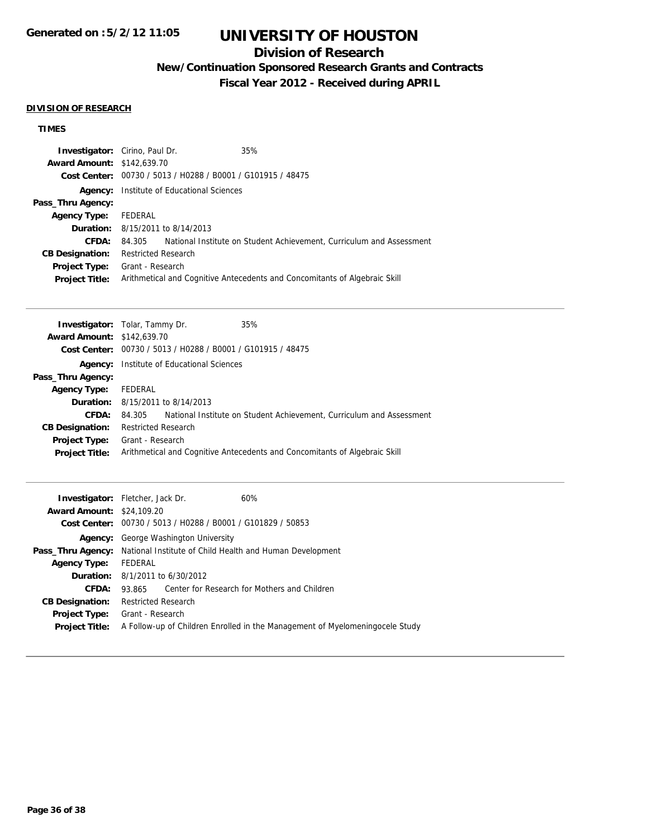# **Division of Research**

**New/Continuation Sponsored Research Grants and Contracts**

**Fiscal Year 2012 - Received during APRIL**

### **DIVISION OF RESEARCH**

# **TIMES**

| <b>Investigator:</b> Cirino, Paul Dr. |                            |                                                             | 35%                                                                        |
|---------------------------------------|----------------------------|-------------------------------------------------------------|----------------------------------------------------------------------------|
| <b>Award Amount: \$142,639.70</b>     |                            |                                                             |                                                                            |
|                                       |                            | Cost Center: 00730 / 5013 / H0288 / B0001 / G101915 / 48475 |                                                                            |
| Agency:                               |                            | Institute of Educational Sciences                           |                                                                            |
| Pass_Thru Agency:                     |                            |                                                             |                                                                            |
| <b>Agency Type:</b>                   | FEDERAL                    |                                                             |                                                                            |
|                                       |                            | <b>Duration:</b> 8/15/2011 to 8/14/2013                     |                                                                            |
| CFDA:                                 | 84.305                     |                                                             | National Institute on Student Achievement, Curriculum and Assessment       |
| <b>CB Designation:</b>                | <b>Restricted Research</b> |                                                             |                                                                            |
| <b>Project Type:</b>                  | Grant - Research           |                                                             |                                                                            |
| <b>Project Title:</b>                 |                            |                                                             | Arithmetical and Cognitive Antecedents and Concomitants of Algebraic Skill |

| <b>Investigator:</b> Tolar, Tammy Dr. |                            |                                                             | 35%                                                                        |
|---------------------------------------|----------------------------|-------------------------------------------------------------|----------------------------------------------------------------------------|
| <b>Award Amount: \$142,639.70</b>     |                            |                                                             |                                                                            |
|                                       |                            | Cost Center: 00730 / 5013 / H0288 / B0001 / G101915 / 48475 |                                                                            |
| Agency:                               |                            | Institute of Educational Sciences                           |                                                                            |
| Pass_Thru Agency:                     |                            |                                                             |                                                                            |
| <b>Agency Type:</b>                   | FEDERAL                    |                                                             |                                                                            |
|                                       |                            | <b>Duration:</b> 8/15/2011 to 8/14/2013                     |                                                                            |
| CFDA:                                 | 84.305                     |                                                             | National Institute on Student Achievement, Curriculum and Assessment       |
| <b>CB Designation:</b>                | <b>Restricted Research</b> |                                                             |                                                                            |
| Project Type:                         | Grant - Research           |                                                             |                                                                            |
| <b>Project Title:</b>                 |                            |                                                             | Arithmetical and Cognitive Antecedents and Concomitants of Algebraic Skill |
|                                       |                            |                                                             |                                                                            |

|                                  | 60%<br><b>Investigator:</b> Fletcher, Jack Dr.                                    |
|----------------------------------|-----------------------------------------------------------------------------------|
| <b>Award Amount: \$24,109.20</b> |                                                                                   |
|                                  | Cost Center: 00730 / 5013 / H0288 / B0001 / G101829 / 50853                       |
|                                  | <b>Agency:</b> George Washington University                                       |
|                                  | <b>Pass_Thru Agency:</b> National Institute of Child Health and Human Development |
| <b>Agency Type:</b>              | FEDERAL                                                                           |
|                                  | <b>Duration:</b> $8/1/2011$ to $6/30/2012$                                        |
| CFDA:                            | Center for Research for Mothers and Children<br>93.865                            |
| <b>CB Designation:</b>           | <b>Restricted Research</b>                                                        |
| <b>Project Type:</b>             | Grant - Research                                                                  |
| <b>Project Title:</b>            | A Follow-up of Children Enrolled in the Management of Myelomening ocele Study     |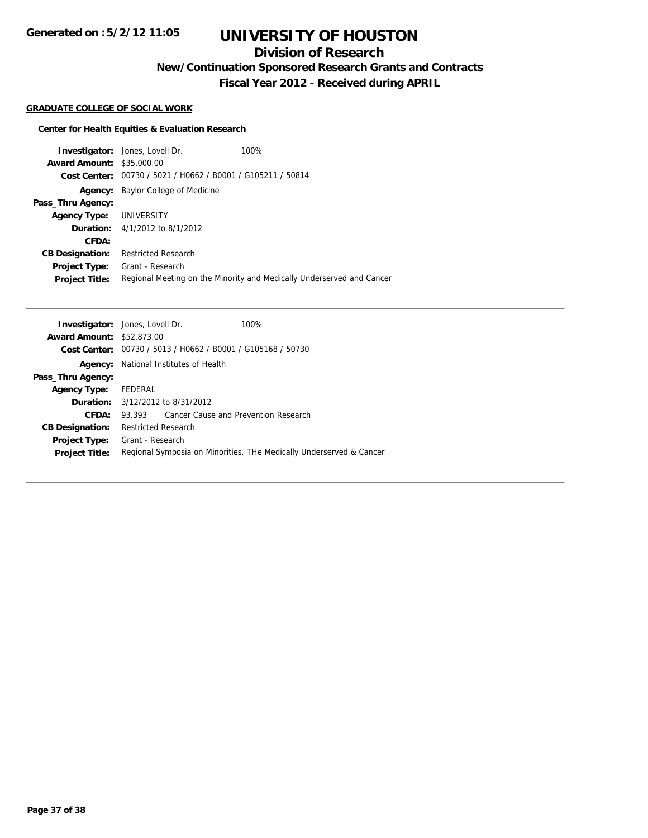**Generated on :5/2/12 11:05**

# **UNIVERSITY OF HOUSTON**

# **Division of Research**

**New/Continuation Sponsored Research Grants and Contracts**

**Fiscal Year 2012 - Received during APRIL**

#### **GRADUATE COLLEGE OF SOCIAL WORK**

## **Center for Health Equities & Evaluation Research**

|                                  | <b>Investigator:</b> Jones, Lovell Dr.                      | 100%                                                                  |
|----------------------------------|-------------------------------------------------------------|-----------------------------------------------------------------------|
| <b>Award Amount: \$35,000.00</b> |                                                             |                                                                       |
|                                  | Cost Center: 00730 / 5021 / H0662 / B0001 / G105211 / 50814 |                                                                       |
| Agency:                          | Baylor College of Medicine                                  |                                                                       |
| Pass_Thru Agency:                |                                                             |                                                                       |
| Agency Type: UNIVERSITY          |                                                             |                                                                       |
|                                  | <b>Duration:</b> $4/1/2012$ to $8/1/2012$                   |                                                                       |
| CFDA:                            |                                                             |                                                                       |
| <b>CB Designation:</b>           | <b>Restricted Research</b>                                  |                                                                       |
| Project Type:                    | Grant - Research                                            |                                                                       |
| <b>Project Title:</b>            |                                                             | Regional Meeting on the Minority and Medically Underserved and Cancer |

|                                  | <b>Investigator:</b> Jones, Lovell Dr.                      | 100%                                                                |
|----------------------------------|-------------------------------------------------------------|---------------------------------------------------------------------|
| <b>Award Amount: \$52,873,00</b> |                                                             |                                                                     |
|                                  | Cost Center: 00730 / 5013 / H0662 / B0001 / G105168 / 50730 |                                                                     |
|                                  | <b>Agency:</b> National Institutes of Health                |                                                                     |
| Pass_Thru Agency:                |                                                             |                                                                     |
| <b>Agency Type:</b>              | FEDERAL                                                     |                                                                     |
|                                  | <b>Duration:</b> 3/12/2012 to 8/31/2012                     |                                                                     |
| <b>CFDA:</b>                     | Cancer Cause and Prevention Research<br>93.393              |                                                                     |
| <b>CB Designation:</b>           | <b>Restricted Research</b>                                  |                                                                     |
| <b>Project Type:</b>             | Grant - Research                                            |                                                                     |
| <b>Project Title:</b>            |                                                             | Regional Symposia on Minorities, THe Medically Underserved & Cancer |
|                                  |                                                             |                                                                     |